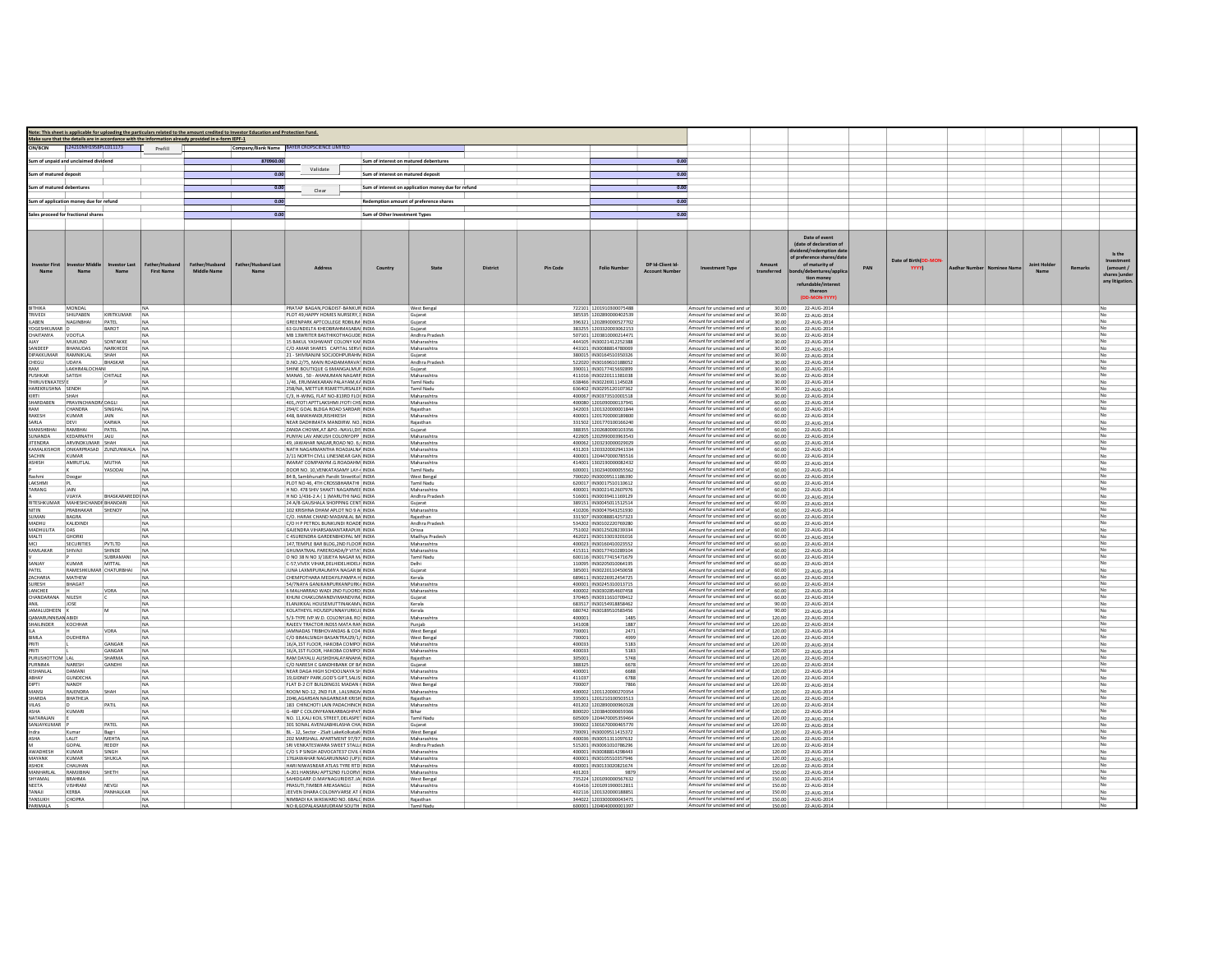|                                             |                                                       |                           | Note: This sheet is applicable for uploading the particulars related to the amount credited to Investor Education and Protection Fund. |                            |                                                                                  |                                       |                                                     |                 |                  |                                                    |                                         |                                                            |                  |                                                                                                                                                                                                        |     |                               |                              |             |                |                                                                    |
|---------------------------------------------|-------------------------------------------------------|---------------------------|----------------------------------------------------------------------------------------------------------------------------------------|----------------------------|----------------------------------------------------------------------------------|---------------------------------------|-----------------------------------------------------|-----------------|------------------|----------------------------------------------------|-----------------------------------------|------------------------------------------------------------|------------------|--------------------------------------------------------------------------------------------------------------------------------------------------------------------------------------------------------|-----|-------------------------------|------------------------------|-------------|----------------|--------------------------------------------------------------------|
| CIN/BCIN                                    | L24210MH1958PLC011173                                 |                           | Make sure that the details are in accordance with the information already provided in e-form IEPF-1<br>Prefill                         |                            | Company/Bank Name BAYER CROPSCIENCE LIMITED                                      |                                       |                                                     |                 |                  |                                                    |                                         |                                                            |                  |                                                                                                                                                                                                        |     |                               |                              |             |                |                                                                    |
|                                             |                                                       |                           |                                                                                                                                        |                            |                                                                                  |                                       |                                                     |                 |                  |                                                    |                                         |                                                            |                  |                                                                                                                                                                                                        |     |                               |                              |             |                |                                                                    |
|                                             | um of unpaid and unclaimed dividend                   |                           |                                                                                                                                        | 870960.00                  | Validate                                                                         | Sum of interest on matured debentures |                                                     |                 |                  |                                                    | 0.00                                    |                                                            |                  |                                                                                                                                                                                                        |     |                               |                              |             |                |                                                                    |
| ium of matured deposit                      |                                                       |                           |                                                                                                                                        | 0.00                       |                                                                                  | Sum of interest on matured deposit    |                                                     |                 |                  |                                                    | 0.00                                    |                                                            |                  |                                                                                                                                                                                                        |     |                               |                              |             |                |                                                                    |
| um of matured debentures                    |                                                       |                           |                                                                                                                                        | 0.00                       |                                                                                  |                                       | Sum of interest on application money due for refund |                 |                  |                                                    | 0.00                                    |                                                            |                  |                                                                                                                                                                                                        |     |                               |                              |             |                |                                                                    |
|                                             |                                                       |                           |                                                                                                                                        | 0.00                       | Clear                                                                            |                                       |                                                     |                 |                  |                                                    | 0.00                                    |                                                            |                  |                                                                                                                                                                                                        |     |                               |                              |             |                |                                                                    |
|                                             | sum of application money due for refund               |                           |                                                                                                                                        |                            |                                                                                  |                                       | Redemption amount of preference shares              |                 |                  |                                                    |                                         |                                                            |                  |                                                                                                                                                                                                        |     |                               |                              |             |                |                                                                    |
|                                             | ales proceed for fractional shares                    |                           |                                                                                                                                        | 0.00                       |                                                                                  | Sum of Other Investment Types         |                                                     |                 |                  |                                                    | 0.00                                    |                                                            |                  |                                                                                                                                                                                                        |     |                               |                              |             |                |                                                                    |
|                                             |                                                       |                           |                                                                                                                                        |                            |                                                                                  |                                       |                                                     |                 |                  |                                                    |                                         |                                                            |                  |                                                                                                                                                                                                        |     |                               |                              |             |                |                                                                    |
| westor First<br>Name                        | Name                                                  | westor Last<br>Name       | ather/Husband<br><b>First Name</b><br><b>Middle Name</b>                                                                               | <b>Father/Husband Last</b> | <b>Address</b>                                                                   | Country                               | State                                               | <b>District</b> | <b>Pin Code</b>  | <b>Folio Number</b>                                | DP Id-Client Id<br><b>Account Numbe</b> | <b>Investment Type</b>                                     | transferred      | Date of event<br>(date of declaration of<br>idend/redemption date<br>of preference shares/date<br>of maturity of<br>ds/debentures/appl<br>tion money<br>refundable/interes<br>thereon<br>(DD-MON-YYYY) | PAN | Date of Birth(DD-MON<br>YYYY) | Aadhar Number   Nominee Name | Joint Holde | <b>Remarks</b> | Is the<br>nvestment<br>(amount/<br>shares ) unde<br>any litigation |
| BITHIKA                                     | <b>MONDAL</b>                                         |                           |                                                                                                                                        |                            | PRATAP BAGAN, PO&DIST-BANKUR INDIA                                               |                                       | West Bengal                                         |                 |                  | 722101 1201910300075488                            |                                         | Amount for unclaimed and ur                                | 30.00            | 22-AUG-2014                                                                                                                                                                                            |     |                               |                              |             |                |                                                                    |
| RIVEDI<br><b>ILABEN</b>                     | SHILPABEN<br>NAGINBHAI                                | KIRITKUMAR<br>PATEL       | NA<br>NA                                                                                                                               |                            | PLOT 49, HAPPY HOMES NURSERY, 3 INDIA<br>GREENPARK APTCOLLEGE RDBILIM INDIA      |                                       | Gujarat<br>Gujarat                                  |                 |                  | 385535 1202890000402539<br>396321 1202890000527702 |                                         | Amount for unclaimed and u<br>Amount for unclaimed and ur  | 30.00<br>30.00   | 22-AUG-2014<br>22-AUG-2014                                                                                                                                                                             |     |                               |                              |             |                |                                                                    |
| OGESHKUMA                                   |                                                       | <b>BAROT</b>              |                                                                                                                                        |                            | 63 GUNDELTA KHEDBRAHMASABAI INDIA                                                |                                       | Gujarat                                             |                 |                  | 383255 1203320003062153                            |                                         | Amount for unclaimed and ur                                | 30.00            | 22-AUG-2014                                                                                                                                                                                            |     |                               |                              |             |                |                                                                    |
| CHAITANYA                                   | VOOTLA<br>MUKUND                                      | SONTAKKE                  | NA                                                                                                                                     |                            | MB 13WRITER BASTHIKOTHAGUDE INDIA<br>15 BAKUL YASHWANT COLONY KAF INDIA          |                                       | Andhra Pradesh<br>Maharashtra                       |                 |                  | 507101 1203810000214471<br>444105 IN3002141225238  |                                         | Amount for unclaimed and ur<br>Amount for unclaimed and un | 30.00<br>30.00   | 22-AUG-2014<br>22-AUG-2014                                                                                                                                                                             |     |                               |                              |             |                |                                                                    |
| ANDEEP                                      | <b>BHANUDAS</b>                                       | NARKHEDE                  | NA                                                                                                                                     |                            | C/O AMAR SHARES CAPITAL SERVI INDIA                                              |                                       | Maharashtra                                         |                 |                  | 443101 IN30088814780069                            |                                         | Amount for unclaimed and ur                                | 30.00            | 22-AUG-201                                                                                                                                                                                             |     |                               |                              |             |                |                                                                    |
| <b>JIPAKKUMAR</b><br>CHEGU                  | RAMNIKLAL<br>LIDAYA                                   | SHAH<br>BHASKAR           | <b>NA</b><br>NA                                                                                                                        |                            | 21 - SHIVRANJNI SOCJODHPURAHN INDIA<br>D.NO.2/75, MAIN ROADAMARAVAT INDIA        |                                       | Gujarat<br>Andhra Pradesh                           |                 |                  | 380015 IN30164510350326<br>522020 IN30169610188052 |                                         | Amount for unclaimed and u<br>Amount for unclaimed and un  | 30.00<br>30.00   | 22-AUG-2014<br>22-AUG-2014                                                                                                                                                                             |     |                               |                              |             |                |                                                                    |
| AM                                          | LAKHIMALOCHANI                                        |                           |                                                                                                                                        |                            | SHINE BOUTIQUE G 6MANGALMUF INDIA                                                |                                       | Gujarat                                             |                 |                  | 390011 IN3017741569289                             |                                         | Amount for unclaimed and ur                                | 30.00            | 22-AUG-2014                                                                                                                                                                                            |     |                               |                              |             |                |                                                                    |
| PUSHKAR<br><b>HIRUVENKATES<sup>I</sup>E</b> | <b>SATISH</b>                                         | CHITALE                   | NA<br><b>NA</b>                                                                                                                        |                            | MANAS SO - AHANI IMAN NAGARE INDIA<br>1/46, ERUMAKKARAN PALAYAM,K/ INDIA         |                                       | Maharashtra<br>Tamil Nadu                           |                 |                  | 411016 IN30220111381038<br>638466 IN30226911145028 |                                         | Amount for unclaimed and ur<br>Amount for unclaimed and ur | 30.00<br>30.00   | 22-AUG-2014<br>22-AUG-2014                                                                                                                                                                             |     |                               |                              |             |                |                                                                    |
| HAREKRUSHNA SENDH                           |                                                       |                           | <b>NA</b>                                                                                                                              |                            | 25B/NA, METTUR RSMETTURSALEN INDIA                                               |                                       | Tamil Nadu                                          |                 |                  | 636402 IN30295120107362                            |                                         | Amount for unclaimed and ur                                | 30.00            | 22-AUG-2014                                                                                                                                                                                            |     |                               |                              |             |                |                                                                    |
| HARDABEN                                    | SHAH<br>PRAVINCHANDRA DAGLI                           |                           | <b>NA</b><br><b>NA</b>                                                                                                                 |                            | C/3. H-WING, FLAT NO-813RD FLOU INDIA<br>401 JYOTI APTTLAKSHMI JYOTI CHS INDIA   |                                       | Maharashtra<br>Maharashtra                          |                 |                  | 400067 IN30373510001518<br>400080 1201090000137941 |                                         | Amount for unclaimed and ur<br>Amount for unclaimed and ur | 30.00<br>60.00   | 22-AUG-2014<br>22-AUG-2014                                                                                                                                                                             |     |                               |                              |             |                |                                                                    |
|                                             | CHANDRA                                               | SINGHAL                   | <b>NA</b>                                                                                                                              |                            | 294/C GOAL BLDGA ROAD SARDAR INDIA                                               |                                       | Raiasthan                                           |                 |                  | 342003 1201320000001844                            |                                         | Amount for unclaimed and ur                                | 60.00            | 22-AUG-2014                                                                                                                                                                                            |     |                               |                              |             |                |                                                                    |
| RAKESH<br>SARLA                             | KUMAR<br>DEVI                                         | <b>JAIN</b><br>KARWA      | <b>NA</b><br><b>NA</b>                                                                                                                 |                            | 448, BANKHANDI, RISHIKESH<br>NEAR DADHIMATA MANDIRW, NO. INDIA                   | <b>INDIA</b>                          | Maharashtra<br>Rajasthan                            |                 |                  | 400001 1201700000189800<br>331502 1201770100166240 |                                         | Amount for unclaimed and ur<br>Amount for unclaimed and ur | 60.00<br>60.00   | 22-AUG-2014<br>22-AUG-2014                                                                                                                                                                             |     |                               |                              |             |                |                                                                    |
| <b>ANISHBHA</b>                             | RAMBHAI                                               | PATEL                     | <b>NA</b>                                                                                                                              |                            | ZANDA CHOWK.AT.&PO .- NAVLI.DIS INDIA                                            |                                       | Gujarat                                             |                 |                  | 388355 1202680000103356                            |                                         | Amount for unclaimed and u                                 | 60.00            | 22-AUG-2014                                                                                                                                                                                            |     |                               |                              |             |                |                                                                    |
| <b>SUNANDA</b><br>TENDRA                    | KEDARNATH<br>ARVINDKUMAR                              | <b>JAJU</b>               | <b>NA</b>                                                                                                                              |                            | PUNYAI LAV ANKUSH COLONYOPP INDIA<br>49, JAWAHAR NAGAR, ROAD NO. 6, INDIA        |                                       | Maharashtra<br>Maharashtra                          |                 |                  | 422605 1202990003963543<br>400062 1203230000029029 |                                         | Amount for unclaimed and u<br>Amount for unclaimed and un  | 60.00<br>60.00   | 22-AUG-2014                                                                                                                                                                                            |     |                               |                              |             |                |                                                                    |
| AMALKISHOR                                  | ONKARPRASAD ZUNZUNWALA                                |                           | NA                                                                                                                                     |                            | NATH NAGARMANTHA ROADJALNA INDIA                                                 |                                       | Maharashtra                                         |                 |                  | 431203 1203320002941334                            |                                         | Amount for unclaimed and ur                                | 60.00            | 22-AUG-2014<br>22-AUG-2014                                                                                                                                                                             |     |                               |                              |             |                |                                                                    |
| <b>ACHIN</b>                                | KLIMAR                                                | <b>MUTHA</b>              |                                                                                                                                        |                            | 2/11 NORTH CIVLL LINESNEAR GAN INDIA                                             |                                       | Maharashtra                                         |                 |                  | 400001 1204470000785516                            |                                         | Amount for unclaimed and un<br>Amount for unclaimed and ur | 60.00            | 22-AUG-2014                                                                                                                                                                                            |     |                               |                              |             |                |                                                                    |
| <b>SHISH</b>                                | AMRUTLAL                                              | YASODAI                   | NA                                                                                                                                     |                            | IMARAT COMPANYM.G.ROADAHM INDIA<br>DOOR NO. 10, VENKATASAMY LAY- INDIA           |                                       | Maharashtra<br>Tamil Nadu                           |                 |                  | 414001 130219000008243<br>600001 1302340000055562  |                                         | Amount for unclaimed and ur                                | 60.00<br>60.00   | 22-AUG-2014<br>22-AUG-2014                                                                                                                                                                             |     |                               |                              |             |                |                                                                    |
| kashmi                                      | Doogar                                                |                           | NA                                                                                                                                     |                            | 84 B, Sambhunath Pandit StreetKol INDIA                                          |                                       | West Bengal                                         |                 |                  | 700020 IN30009511186390                            |                                         | Amount for unclaimed and ur                                | 60.00            | 22-AUG-2014                                                                                                                                                                                            |     |                               |                              |             |                |                                                                    |
| <b>LAKSHMI</b><br>TARANG                    | <b>IAIN</b>                                           |                           | <b>NA</b><br><b>NA</b>                                                                                                                 |                            | PLOT NO 46 4TH CROSSRHARATHI INDIA<br>H NO. 478 SHIV SHAKTI NAGARMEE INDIA       |                                       | Tamil Nadu<br>Maharashtra                           |                 |                  | 620017 IN30017510110612<br>400001 IN30021412607976 |                                         | Amount for unclaimed and ur<br>Amount for unclaimed and ur | 60.00<br>60.00   | 22-AUG-2014<br>22-AUG-2014                                                                                                                                                                             |     |                               |                              |             |                |                                                                    |
|                                             | VUAYA                                                 | BHASKARAREDD' NA          |                                                                                                                                        |                            | H NO 1/436-2 A (1) MARUTHI NAG INDIA                                             |                                       | Andhra Pradesh                                      |                 |                  | 516001 IN30039411169129                            |                                         | Amount for unclaimed and ur                                | 60.00            | 22-AUG-2014                                                                                                                                                                                            |     |                               |                              |             |                |                                                                    |
| NITIN                                       | RITESHKUMAR MAHESHCHANDR BHANDARI<br>PRABHAKAR SHENOY |                           | NA<br><b>NA</b>                                                                                                                        |                            | 24 A/B GAUSHALA SHOPPING CENT INDIA<br>102 KRISHNA DHAM APLOT NO 9 ALINDIA       |                                       | Guiarat<br>Maharashtra                              |                 |                  | 389151 IN30045011512514<br>410206 IN30047643251930 |                                         | Amount for unclaimed and ur<br>Amount for unclaimed and ur | 60.00<br>60.00   | 22-AUG-2014<br>22-AUG-2014                                                                                                                                                                             |     |                               |                              |             |                |                                                                    |
| <b>SUMAN</b>                                | BAGRA                                                 |                           | <b>NA</b>                                                                                                                              |                            | C/O. HARAK CHAND MADANLAL BA INDIA                                               |                                       | Rajasthan                                           |                 |                  | 331507 IN30088814257323                            |                                         | Amount for unclaimed and ur                                | 60.00            | 22-AUG-2014                                                                                                                                                                                            |     |                               |                              |             |                |                                                                    |
| MADHU<br>MADHULITA                          | KALIDINDI<br>DAS                                      |                           | <b>NA</b><br>NA                                                                                                                        |                            | C/O H P PETROL BUNKUNDI ROADE INDIA<br>GAJENDRA VIHARSAMANTARAPUR INDIA          |                                       | Andhra Pradesh<br>Orissa                            |                 |                  | 534202 IN30102220769280<br>751002 IN30125028239334 |                                         | Amount for unclaimed and ur<br>Amount for unclaimed and ur | 60.00<br>60.00   | 22-AUG-2014<br>22-AUG-2014                                                                                                                                                                             |     |                               |                              |             |                |                                                                    |
| MALTI                                       | <b>GHORKI</b>                                         |                           | <b>NA</b>                                                                                                                              |                            | C 4SURENDRA GARDENBHOPAL MF INDIA                                                |                                       | Madhya Pradesh                                      |                 |                  | 462021 IN30133019201016                            |                                         | Amount for unclaimed and ur                                | 60.00            | 22-AUG-2014                                                                                                                                                                                            |     |                               |                              |             |                |                                                                    |
| KAMLAKAR                                    | <b>SECURITIES</b>                                     | PVTLTD<br>SHINDE          | <b>NA</b>                                                                                                                              |                            | 147,TEMPLE BAR BLDG, 2ND FLOOR INDIA<br>GHUMATMAL PAREROADA/P VITAT INDIA        |                                       | Maharashtra                                         |                 |                  | 400023 IN30160410023552<br>415311 IN3017741028910  |                                         | Amount for unclaimed and u<br>Amount for unclaimed and u   | 60.00<br>60.00   | 22-AUG-2014<br>22-AUG-2014                                                                                                                                                                             |     |                               |                              |             |                |                                                                    |
|                                             | SHIVAJI                                               | SUBRAMANI                 | NA<br><b>NA</b>                                                                                                                        |                            | O NO 38 N NO 3/18JEYA NAGAR M. INDIA                                             |                                       | Maharashtra<br>Tamil Nadu                           |                 |                  | 600116 IN3017741547167                             |                                         | Amount for unclaimed and u                                 | 60.00            | 22-AUG-2014                                                                                                                                                                                            |     |                               |                              |             |                |                                                                    |
| ANJAY                                       | <b>KUMAR</b><br>RAMESHKLIMAR CHATLIRRHAL              | <b>MITTAL</b>             | <b>NA</b>                                                                                                                              |                            | C-57, VIVEK VIHAR, DELHIDELHIDELI INDIA                                          |                                       | Delhi                                               |                 |                  | 110095 IN30205010064195                            |                                         | Amount for unclaimed and ur<br>Amount for unclaimed and un | 60.00            | 22-AUG-2014                                                                                                                                                                                            |     |                               |                              |             |                |                                                                    |
| PATEL<br>ZACHARIA                           | MATHEW                                                |                           |                                                                                                                                        |                            | JUNA LAXMIPURAUMIYA NAGAR BI INDIA<br>CHEMPOTHARA MEDAYILPAMPA H INDIA           |                                       | Gujarat<br>Kerala                                   |                 |                  | 385001 IN30220110450658<br>689611 IN3022691245472  |                                         | Amount for unclaimed and un                                | 60.00<br>60.00   | 22-AUG-2014<br>22-AUG-2014                                                                                                                                                                             |     |                               |                              |             |                |                                                                    |
| <b>LIRESH</b>                               | <b>BHAGAT</b>                                         |                           | <b>NA</b>                                                                                                                              |                            | 54/7NAYA GANIKANPURKANPURKI INDIA                                                |                                       | Maharashtra                                         |                 |                  | 400001 IN30245310013715                            |                                         | Amount for unclaimed and ur                                | 60.00            | 22-AUG-2014                                                                                                                                                                                            |     |                               |                              |             |                |                                                                    |
| ANCHEE<br>HANDARANA NILESH                  |                                                       | VORA                      | NA<br><b>NA</b>                                                                                                                        |                            | 6 MALHARRAO WADI 2ND FLOORD INDIA<br>KHUNI CHAKLOMANDVIMANDVIM. INDIA            |                                       | Maharashtra<br>Guiarat                              |                 |                  | 400002 IN30302854607458<br>370465 IN30311610709412 |                                         | Amount for unclaimed and ur<br>Amount for unclaimed and ur | 60.00<br>60.00   | 22-AUG-2014<br>22-AUG-2014                                                                                                                                                                             |     |                               |                              |             |                |                                                                    |
|                                             | JOSE                                                  |                           | <b>NA</b>                                                                                                                              |                            | ELANJIKKAL HOUSEMUTTINAKAM\ INDIA                                                |                                       | Kerala                                              |                 |                  | 683517 IN30154918858462                            |                                         | Amount for unclaimed and ur                                | 90.00            | 22-AUG-2014                                                                                                                                                                                            |     |                               |                              |             |                |                                                                    |
| JAMALUDHEEN K<br><b>JAMARUNNISAN ABIDI</b>  |                                                       | <b>M</b>                  | <b>NA</b><br><b>NA</b>                                                                                                                 |                            | KOLATHEYIL HOUSEPUNNAYURKUI INDIA<br>5/3-TYPE IVP.W.D. COLONYJAIL RO INDIA       |                                       | Kerala                                              |                 | 400001           | 680742 IN30189510583456<br>1485                    |                                         | Amount for unclaimed and ur<br>Amount for unclaimed and ur | 90.00<br>120.00  | 22-AUG-2014<br>22-AUG-2014                                                                                                                                                                             |     |                               |                              |             |                |                                                                    |
| HAILINDER KOCHHAR                           |                                                       |                           | <b>NA</b>                                                                                                                              |                            | RAJEEV TRACTOR INDSS MATA RAN INDIA                                              |                                       | Maharashtra<br>Punjab                               |                 | 141008           | 1887                                               |                                         | Amount for unclaimed and ur                                | 120.00           | 22-AUG-2014                                                                                                                                                                                            |     |                               |                              |             |                |                                                                    |
| <b>BIMLA</b>                                |                                                       | VORA                      | <b>NA</b>                                                                                                                              |                            | JAMNADAS TRIBHOVANDAS & CO4 INDIA<br>C/O BIMALSINGH BASANTRAJ29/1/ INDIA         |                                       | West Bengal                                         |                 | 700001           | 2471                                               |                                         | Amount for unclaimed and ur<br>Amount for unclaimed and u  | 120.00<br>120.00 | 22-AUG-2014                                                                                                                                                                                            |     |                               |                              |             |                |                                                                    |
| PRITI                                       | DUDHERIA                                              | GANGAR                    | <b>NA</b><br>NA                                                                                                                        |                            | 16/A,1ST FLOOR, HAKOBA COMPO INDIA                                               |                                       | West Bengal<br>Maharashtra                          |                 | 700001<br>400033 | 4999<br>5183                                       |                                         | Amount for unclaimed and u                                 | 120.00           | 22-AUG-2014<br>22-AUG-2014                                                                                                                                                                             |     |                               |                              |             |                |                                                                    |
|                                             |                                                       | GANGAR                    | NA                                                                                                                                     |                            | 16/A,1ST FLOOR, HAKOBA COMPO INDIA                                               |                                       | Maharashtra                                         |                 | 400033           | 5183                                               |                                         | Amount for unclaimed and ur                                | 120.00           | 22-AUG-2014                                                                                                                                                                                            |     |                               |                              |             |                |                                                                    |
| URUSHOTTOM LAL<br><b>IDNIMA</b>             | <b>NARFSH</b>                                         | SHARMA<br>GANDHI          | NA<br><b>NA</b>                                                                                                                        |                            | RAM DAYALU AUSHDHALAYANAHA INDIA<br>C/O NARESH C GANDHIBANK OF BA INDIA          |                                       | Rajasthan<br>Gujarat                                |                 | 305001<br>388325 | 5748<br>6678                                       |                                         | Amount for unclaimed and ur<br>Amount for unclaimed and un | 120.00<br>120.00 | 22-AUG-2014<br>22-AUG-2014                                                                                                                                                                             |     |                               |                              |             |                |                                                                    |
| SHANLAL                                     | <b>DAMAN</b>                                          |                           |                                                                                                                                        |                            | NEAR DAGA HIGH SCHOOLNAYA SH INDIA                                               |                                       | Maharashtra                                         |                 | 400001           | 6688                                               |                                         | Amount for unclaimed and un                                | 120.00           | 22-AUG-2014                                                                                                                                                                                            |     |                               |                              |             |                |                                                                    |
| ARHAY<br>PTI                                | <b>GUNDECHA</b><br><b>NANDY</b>                       |                           | NA<br><b>NA</b>                                                                                                                        |                            | 19,GIDNEY PARK,GOD'S GIFT,SALIS INDIA<br>FLAT D-2 CIT BUILDING31 MADAN (INDIA    |                                       | Maharashtra<br>West Bengal                          |                 | 411037<br>700007 | 6788<br>7866                                       |                                         | Amount for unclaimed and ur<br>Amount for unclaimed and ur | 120.00<br>120.00 | 22-AUG-2014<br>22-AUG-2014                                                                                                                                                                             |     |                               |                              |             |                |                                                                    |
| <b>IPMAN</b>                                | <b>RAIFNDRA</b>                                       | SHAH                      | <b>NA</b>                                                                                                                              |                            | ROOM NO-12, 2ND FLR. LALSINGN INDIA                                              |                                       | Maharashtra                                         |                 |                  | 400002 1201120000270354                            |                                         | Amount for unclaimed and un                                | 120.00           | 22-AUG-2014                                                                                                                                                                                            |     |                               |                              |             |                |                                                                    |
| HARDA                                       | BHATHEIA                                              | PATIL                     | <b>NA</b>                                                                                                                              |                            | 2046 AGARSAN NAGARNEAR KRISH INDIA<br>183 CHINCHOTI LAIN PADACHINCH INDIA        |                                       | Raiasthan                                           |                 |                  | 335001 1201210100503513<br>401202 1202890000960328 |                                         | Amount for unclaimed and ur<br>Amount for unclaimed and ur | 120.00           | 22-AUG-2014                                                                                                                                                                                            |     |                               |                              |             |                |                                                                    |
| VILAS<br>ASHA                               | KUMARI                                                |                           | NA<br><b>NA</b>                                                                                                                        |                            | G-48P C COLONYKANKARBAGHPAT INDIA                                                |                                       | Maharashtra<br>Bihar                                |                 |                  | 800020 1203840000659366                            |                                         | Amount for unclaimed and ur                                | 120.00<br>120.00 | 22-AUG-2014<br>22-AUG-2014                                                                                                                                                                             |     |                               |                              |             |                |                                                                    |
| NATARAIAN                                   |                                                       |                           | <b>NA</b>                                                                                                                              |                            | NO. 11 KAU KOIL STREET.DELASPET INDIA                                            |                                       | Tamil Nadu                                          |                 |                  | 605009 1204470005359464                            |                                         | Amount for unclaimed and ur<br>Amount for unclaimed and ur | 120.00           | 22-AUG-2014                                                                                                                                                                                            |     |                               |                              |             |                |                                                                    |
| SANJAYKUMAR<br>ndra                         | Kumar                                                 | PATEL<br>Bagri            | <b>NA</b><br><b>NA</b>                                                                                                                 |                            | 301 SONAL AVENUABHILASHA CHA INDIA<br>BL - 12. Sector - 2Salt LakeKolkataK INDIA |                                       | Guiarat<br>West Bengal                              |                 |                  | 390002 1301670000465770<br>700091 IN30009511415372 |                                         | Amount for unclaimed and ur                                | 120.00<br>120.00 | 22-AUG-2014<br>22-AUG-2014                                                                                                                                                                             |     |                               |                              |             |                |                                                                    |
| ASHA                                        | LALIT                                                 | MEHTA                     | <b>NA</b>                                                                                                                              |                            | 202 MARSHALL APARTMENT 97/97 INDIA                                               |                                       | Maharashtra                                         |                 |                  | 400036 IN30051311097632                            |                                         | Amount for unclaimed and ur                                | 120.00           | 22-AUG-2014                                                                                                                                                                                            |     |                               |                              |             |                |                                                                    |
| WADHESH                                     | GOPAL<br>KUMA                                         | REDDY<br>SINGH            | <b>NA</b><br>NA                                                                                                                        |                            | SRI VENKATESWARA SWEET STALLI INDIA<br>C/O S P SINGH ADVOCATE37 CIVIL I INDIA    |                                       | Andhra Pradesh<br>Maharashtra                       |                 |                  | 515201 IN30061010786296<br>400001 IN30088814298443 |                                         | Amount for unclaimed and ur<br>Amount for unclaimed and ur | 120.00<br>120.00 | 22-AUG-2014<br>22-AUG-2014                                                                                                                                                                             |     |                               |                              |             |                |                                                                    |
| MAYANK                                      | KUMAR                                                 | SHUKLA                    | NA                                                                                                                                     |                            | 176JAWAHAR NAGARUNNAO (UP) INDIA                                                 |                                       | Maharashtra                                         |                 |                  | 400001 IN30105510357946                            |                                         | Amount for unclaimed and u                                 | 120.00           | 22-AUG-2014                                                                                                                                                                                            |     |                               |                              |             |                |                                                                    |
| SHOK<br>ANHARLAL                            | CHAUHAN<br>RAMJIBHA                                   | SHETH                     |                                                                                                                                        |                            | HARI NIWASNEAR ATLAS TYRE RTD INDIA<br>A-201 HANSRAJ APTS2ND FLOORVI INDIA       |                                       | Maharashtra                                         |                 | 401203           | 400001 IN3013302082167                             |                                         | Amount for unclaimed and ur<br>Amount for unclaimed and ur | 120.00<br>150.00 | 22-AUG-2014                                                                                                                                                                                            |     |                               |                              |             |                |                                                                    |
| <b>LANANH2</b>                              | <b>RRAHMA</b>                                         |                           | NA<br><b>NA</b>                                                                                                                        |                            | SAHIDGARP.O.MAYNAGURIDIST.JA INDIA                                               |                                       | Maharashtra<br>West Bengal                          |                 |                  | 735224 1201090000567632                            |                                         | Amount for unclaimed and un                                | 150.00           | 22-AUG-2014<br>22-AUG-2014                                                                                                                                                                             |     |                               |                              |             |                |                                                                    |
| EETA<br><b>TANAII</b>                       | VISHRAM<br>KERRA                                      | NEVGI<br><b>PANHALKAR</b> | NA                                                                                                                                     |                            | PRASUTI, TIMBER AREASANGLI INDIA<br>IFFVEN DHARA COLONYVARSE AT FINDIA           |                                       | Maharashtra                                         |                 |                  | 416416 1201091900012811<br>402116 1201320000188851 |                                         | Amount for unclaimed and un<br>Amount for unclaimed and ur | 150.00<br>150.00 | 22-AUG-2014                                                                                                                                                                                            |     |                               |                              |             |                |                                                                    |
| TANSUKH                                     | CHOPRA                                                |                           | NA                                                                                                                                     |                            | NIMBADI KA WASWARD NO. 6BALC INDIA                                               |                                       | Maharashtra<br>Rajasthan                            |                 |                  | 344022 1203300000043471                            |                                         | Amount for unclaimed and ur                                | 150.00           | 22-AUG-201<br>22-AUG-2014                                                                                                                                                                              |     |                               |                              |             |                |                                                                    |
| PARIMALA                                    |                                                       |                           |                                                                                                                                        |                            | NO:8.GOPALASAMUDRAM SOUTH INDIA                                                  |                                       | Tamil Nadı                                          |                 |                  | 600001 12040                                       |                                         | Amount for unclaimed and ur                                | 1500             | 2.4116.201                                                                                                                                                                                             |     |                               |                              |             |                |                                                                    |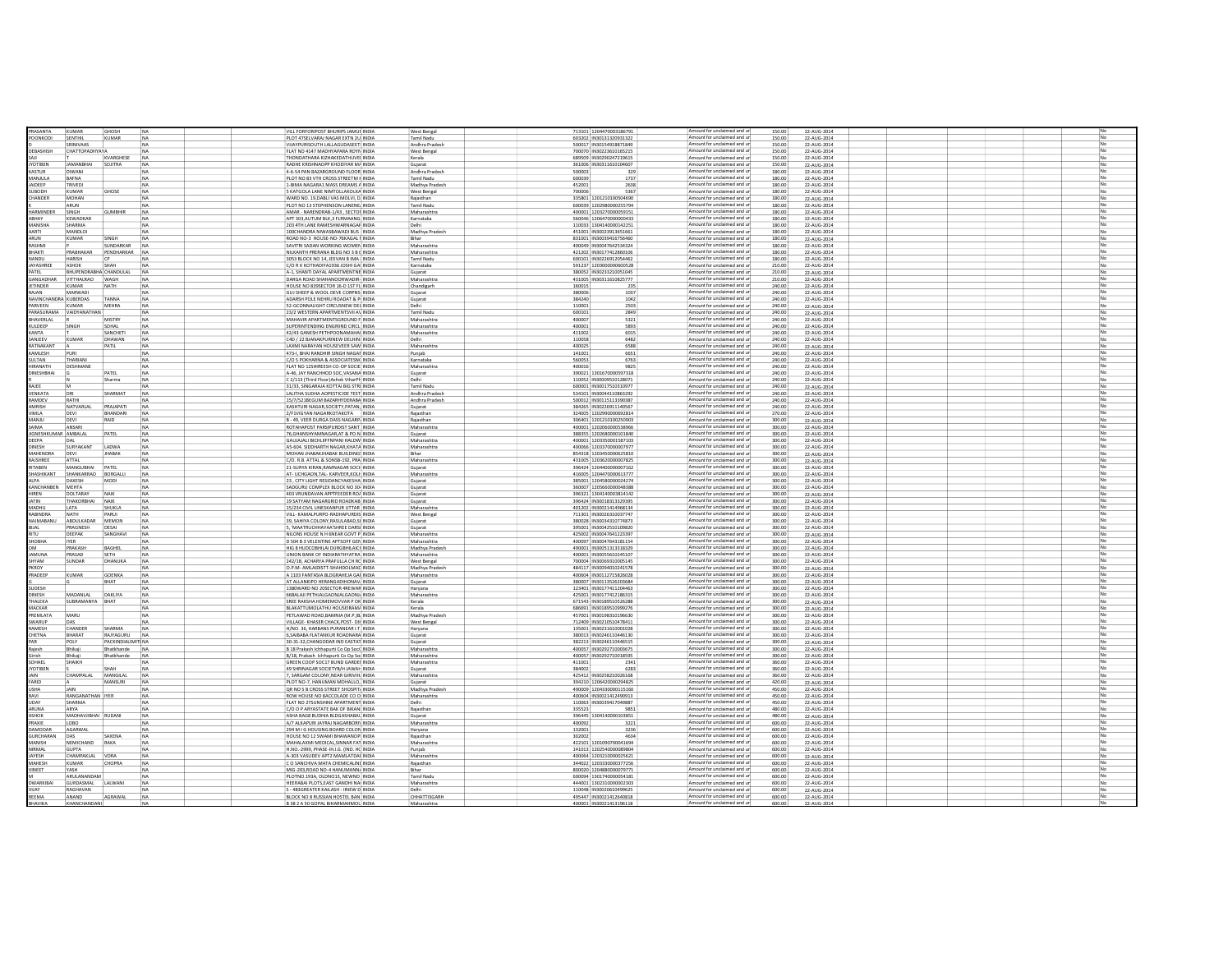|                                  | KUMA                    | <b>GHOSI</b>      |           | VILL FORFORIPOST BHURIPS JAMUI INDIA                                   | <b>West Benga</b>        | 713101 120447000318679            | Amount for unclaimed and un<br>150.00                      | 22-AUG-2014                |  |  |                |
|----------------------------------|-------------------------|-------------------|-----------|------------------------------------------------------------------------|--------------------------|-----------------------------------|------------------------------------------------------------|----------------------------|--|--|----------------|
| PRASANTA<br>CONKODI              | SENTHIL                 | KUMAR             |           | PLOT 47SELVARAJ NAGAR EXTN 2U INDIA                                    | Tamil Nadu               | 603202 IN30131320931322           | Amount for unclaimed and ur<br>150.00                      | 22-AUG-2014                |  |  |                |
|                                  | SRINIVAAS               |                   | NA<br>NA  |                                                                        |                          |                                   | Amount for unclaimed and ur                                |                            |  |  | No             |
|                                  |                         |                   |           | VIJAYPURISOUTH LALLAGUDASEET INDIA                                     | Andhra Prades            | 500017 IN30154918871849           | 150.00                                                     | 22-AUG-2014                |  |  |                |
| EBASHISH                         | <b>CHATTOPADHYAYA</b>   |                   |           | FLAT NO 4147 MADHYAPARA ROYN INDIA                                     | West Bengal              | 700070 IN30223610165215           | Amount for unclaimed and un<br>150.00                      | 22-AUG-2014                |  |  | N <sub>o</sub> |
|                                  |                         | KVARGHESE         | NA        | THONDATHARA KIZHAKEDATHUVEI INDIA                                      | Kerala                   | 689509 IN30290247219619           | Amount for unclaimed and ur<br>150.00                      | 22-AUG-2014                |  |  | No             |
| <b>COTIBEN</b>                   | <b>JAMANBHAI</b>        | SOJITRA           |           | RADHE KRISHNAOPP KHODIYAR M/ INDIA                                     | Gujarat                  | 361006 IN30311610104607           | Amount for unclaimed and ur<br>150.00                      | 22-AUG-2014                |  |  |                |
| <b>RUTZAY</b>                    | <b>DIWANI</b>           |                   | <b>NA</b> | 4-6-54 PAN RAZARGROUND FLOOR INDIA                                     | Andhra Pradesh           | 500003<br>329                     | Amount for unclaimed and ur<br>180.00                      | 22-AUG-2014                |  |  |                |
| AJUUMA                           | BAFNA                   |                   | <b>NA</b> | PLOT NO 83 VTH CROSS STREETM HINDIA                                    | Tamil Nadu               | 600039<br>1737                    | Amount for unclaimed and ur<br>180.00                      | 22-AUG-2014                |  |  | No             |
| AIDEEP                           | TRIVEDI                 |                   | <b>NA</b> | 1-BIMA NAGARA1 MASS DREAMS A INDIA                                     | Madhya Pradesh           | 452001<br>2638                    | Amount for unclaimed and ur<br>180.00                      |                            |  |  | No             |
| HOOP                             | KUMAR                   |                   | <b>NA</b> | S KATGOLA LANE NIMTOU AKOLKA INDIA                                     |                          | 700006<br>5367                    | Amount for unclaimed and ur<br>180.00                      | 22-AUG-2014<br>22-AUG-2014 |  |  | No             |
|                                  |                         | GHOSE             |           |                                                                        | West Bengal              |                                   |                                                            |                            |  |  |                |
| <b>HANDER</b>                    | <b>MOHAN</b>            |                   | NA        | WARD NO. 19 DABLI VAS MOLVI. D. INDIA                                  | Raiasthan                | 335801 1201210100504690           | Amount for unclaimed and ur<br>180.00                      | 22-AUG-2014                |  |  |                |
|                                  | ARUN                    |                   | <b>NA</b> | PLOT NO 13 STEPHENSON LANENE, INDIA                                    | Tamil Nadu               | 600039 120298000025579            | Amount for unclaimed and ur<br>180.00                      | 22-AUG-2014                |  |  | No             |
| ARMINDER                         | <b>SINGH</b>            | <b>GUMBHIR</b>    | <b>NA</b> | AMAR - NARENDRAB-1/43 . SECTOI INDIA                                   | Maharashtra              | 400001 120327000005915:           | Amount for unclaimed and ur<br>180.00                      | 22-AUG-2014                |  |  |                |
| ABHAY                            | KEWADKAP                |                   |           | APT 303 AUTUM BLK.3 FLRMAANG INDIA                                     | Karnataka                | 560046 120647000000043            | Amount for unclaimed and ur<br>180.00                      | 22-AUG-2014                |  |  |                |
| <b>ANISHA</b>                    | SHARMA                  |                   |           | 203 4TH LANE RAMESHWARNAGAF INDIA                                      |                          | 110033 1304140000142251           | Amount for unclaimed and ur<br>180.00                      | 22-AUG-2014                |  |  |                |
| AARTI                            | <b>MANDLOI</b>          |                   | <b>NA</b> | 100CHANDRA NIWASBAWADI BUS: INDIA                                      | Madhya Pradesh           | 451001 IN30023913651661           | Amount for unclaimed and ur<br>180.00                      | 22-AUG-2014                |  |  |                |
| ARUN                             | <b>KUMAR</b>            |                   |           | ROAD NO-3 HOUSE-NO-76KAGAL I INDIA                                     | Bihar                    | 831001 IN30039416756460           | Amount for unclaimed and ur<br>180.00                      |                            |  |  |                |
|                                  |                         |                   |           |                                                                        |                          |                                   |                                                            | 22-AUG-2014                |  |  |                |
| RASHMI                           |                         | SUNDARKAR         | NA        | SAVITRI SADAN WORKING WOMEN INDIA                                      | Maharashtra              | 400049 IN30047642534324           | Amount for unclaimed and ur<br>180.00                      | 22-AUG-2014                |  |  |                |
| HAKTI                            | PRABHAKAR               | PENDHARKAR        | NA        | NILKANTH PRERANA BLDG NO 3 B ( INDIA                                   | Maharashtra              | 421202 IN30177412860106           | Amount for unclaimed and ur<br>180.00                      | 22-AUG-2014                |  |  |                |
| NANDU                            | HARISH                  | <b>CP</b>         |           | 3053 BLOCK NO 14. JEEVAN B IMA INDIA                                   | Tamil Nadu               | 600101 IN30226912054462           | Amount for unclaimed and ur<br>180.00                      | 22-AUG-2014                |  |  |                |
| <b>AYASHREE</b>                  | <b>ASHOK</b>            | SHAH              |           | C/O R K KOTHADIYA1936 JOSHI GA INDIA                                   | Karnataka                | 591237 1203000000600528           | Amount for unclaimed and ur<br>210.00                      | 22-AUG-2014                |  |  |                |
|                                  | BHUPENDRABHA CHANDULAI  |                   | NA        | A-1, SHANTI DAYAL APARTMENTNE INDIA                                    | Gujarat                  | 380052 IN3023321005104            | Amount for unclaimed and ur<br>210.0                       | 22-AUG-2014                |  |  | No             |
| SANGADHAR                        | VITTHALRAD              | WAGH              |           | DARGA ROAD SHAHANOORWADIR- INDIA                                       | Maharashtra              | 431005 IN30311610825777           | Amount for unclaimed and u<br>210.00                       | 22-AUG-2014                |  |  | <b>NP</b>      |
| ETINDER                          | <b>KUMAR</b>            | NATH              |           | HOUSE NO 839SECTOR 16-D 1ST FL INDIA                                   | Chandigart               | 160015<br>235                     | Amount for unclaimed and ur<br>240.00                      | 22-AUG-2014                |  |  | No             |
|                                  |                         |                   |           |                                                                        |                          |                                   | Amount for unclaimed and ur                                |                            |  |  |                |
| <b>MAL</b>                       | <b>MARWAD</b>           |                   | NA        | GUJ SHEEP & WOOL DEVE CORPNS INDIA                                     | Gujarat                  | 380006<br>1037                    | 240.00                                                     | 22-AUG-2014                |  |  |                |
| NAVINCHANDRA KURERDAS            |                         | TANNA             | NA        | ADARSH POLE NEHRU ROADAT & P INDIA                                     | Gujarat                  | 384240<br>1042                    | Amount for unclaimed and ur<br>240.00                      | 22-AUG-2014                |  |  | <b>No</b>      |
| ARVEEN                           | KUMAR                   | MEHRA             | NA        | 52-GCONNAUGHT CIRCUSNEW DEI INDIA                                      |                          | 110001<br>2503                    | Amount for unclaimed and un<br>240.00                      | 22-AUG-2014                |  |  | No.            |
|                                  | ARASHRAMA VAIDYANATHAN  |                   | NA        | 23/2 WESTERN APARTMENTSVII AV INDIA                                    | Tamil Nadu               | 600101<br>2849                    | Amount for unclaimed and ur<br>240.00                      | 22-AUG-2014                |  |  | No             |
| <b>IAVERLAL</b>                  |                         | <b>MISTR</b>      | NA        | MAHAVIR APARTMENTSGROUND F INDIA                                       | Maharashtra              | 400007<br>5321                    | Amount for unclaimed and ur<br>240.00                      | 22-AUG-2014                |  |  |                |
| <b>UILDEEP</b>                   | SINGH                   | SOHAL             | <b>NA</b> | SUPERINTENDING ENGRIIND CIRCL INDIA                                    | Maharashtra              | 400001<br>5893                    | Amount for unclaimed and ur<br>240.00                      | 22-AUG-2014                |  |  | No             |
| <b>ANTA</b>                      |                         | SANCHET           | NA        | 42/43 GANESH PETHPOONAMAHAI INDIA                                      | Maharashtra              | 411002<br>6015                    | Amount for unclaimed and ur<br>240.00                      | 22-AUG-2014                |  |  | No             |
| ANJEEV                           | KUMAR                   | DHAWAN            | <b>NA</b> | C4D / 22 BJANAKPURINEW DELHINI INDIA                                   | Delhi                    | 110058<br>6482                    | Amount for unclaimed and ur<br>240.00                      |                            |  |  | No             |
|                                  |                         |                   |           |                                                                        |                          |                                   |                                                            | 22-AUG-2014                |  |  | No             |
| <b>ATNAKANT</b>                  |                         | PATIL             | <b>NA</b> | LAXMI NARAYAN HOUSEVEER SAW INDIA                                      | Maharashtra              | 400025<br>6588                    | Amount for unclaimed and ur<br>240.00                      | 22-AUG-2014                |  |  |                |
| AMLESH                           | PURI                    |                   | <b>NA</b> | 473-I, BHAI RANDHIR SINGH NAGAI INDIA                                  | Puniab                   | 141001<br>6651                    | Amount for unclaimed and ur<br>240.00                      | 22-AUG-2014                |  |  |                |
| <b>ULTAN</b>                     | THARIANI                |                   | <b>NA</b> | C/O S POKHARNA & ASSOCIATESN( INDIA                                    | Karnataka                | 560053<br>6763                    | Amount for unclaimed and ur<br>240.00                      | 22-AUG-2014                |  |  | No             |
| RANATH                           | <b>DESHMANE</b>         |                   | <b>NA</b> | FLAT NO 12SHIREESH CO-OP SOCIE INDIA                                   | Maharashtra              | 400016<br>9825                    | Amount for unclaimed and ur<br>240.00                      | 22-AUG-2014                |  |  |                |
| DINESHBHAI                       |                         | PATEL             | <b>NA</b> | A-46, JAY RANCHHOD SOC.VASANA INDIA                                    | Gujarat                  | 390021 1301670000597318           | Amount for unclaimed and ur<br>240.00                      | 22-AUG-2014                |  |  |                |
|                                  |                         | Sharma            | <b>NA</b> | C 2/113 (Third Floor)Ashok ViharPh INDIA                               |                          | 110052 IN30009510128071           | Amount for unclaimed and ur<br>240.00                      | 22-AUG-2014                |  |  |                |
| RAJEE                            | M                       |                   | NA        | 31/33, SINGARAJA KOTTAI BIG STRI INDIA                                 | Tamil Nadu               | 600001 IN30017510310977           | Amount for unclaimed and ur<br>240.00                      | 22-AUG-2014                |  |  |                |
| VENKATA                          | DR                      | SHARMAT           | <b>NA</b> | LALITHA SUDHA AOPESTICIDE TEST INDIA                                   | Andhra Prades            | 534101 IN30044110863292           | Amount for unclaimed and ur<br>240.00                      | 22-AUG-2014                |  |  |                |
|                                  |                         |                   |           |                                                                        |                          |                                   |                                                            |                            |  |  |                |
| AMDEV                            | RATHI                   |                   |           | 15/7/521BEGUM BAZARHYDERABA INDIA                                      | Andhra Pradesh           | 500012 IN30115113390387           | Amount for unclaimed and ur<br>240.00                      | 22-AUG-2014                |  |  |                |
| <b>MRISH</b>                     | NATVARLA                | PRAJAPAT          | NA        | KASHTURI NAGAR, SOCIETY, PATAN, INDIA                                  | Gujarat                  | 384265 IN3022691114056            | Amount for unclaimed and ur<br>240.0                       | 22-AUG-2014                |  |  |                |
| /IMLA                            | DEVI                    | BHANDARI          | NA        | 2/F1VIGYAN NAGARKOTAKOTA INDIA                                         | Rajasthan                | 324005 120299000069281            | Amount for unclaimed and ur<br>270.00                      | 22-AUG-2014                |  |  |                |
| MANJU                            | DEVI                    | RAID              | <b>NA</b> | B - 49, VEER DURGA DASS NAGARP. INDIA                                  | Rajasthan                | 306401 120121010025090            | Amount for unclaimed and ur<br>300.00                      | 22-AUG-2014                |  |  |                |
| <b>AIMA</b>                      | ANSAR                   |                   |           | ROTAHAPOST PARSIPURDIST SANT INDIA                                     | Maharashtra              | 400001 120206000053896            | Amount for unclaimed and ur<br>300.0                       | 22-AUG-2014                |  |  | No             |
| IGNESHKUMAR AMBALAL              |                         | PATEL             | <b>NA</b> | 76.GHANSHYAMNAGAR.AT & PO.N INDIA                                      | Gujarat                  | 388355 1202680000101840           | Amount for unclaimed and u<br>300.00                       | 22-AUG-2014                |  |  | <b>N</b>       |
| DEEPA                            |                         |                   |           | GAUJAJALI BICHLIIFFNPANI HALDW INDIA                                   | Maharashtra              | 400001 120335000158710            | Amount for unclaimed and ur<br>300.00                      | 22-AUG-2014                |  |  | No             |
| INESH                            | SURYAKANT               | LADWA             | NA        | AS-604. SIDDHARTH NAGAR, KHATA INDIA                                   | Maharashtra              | 400066 120337000000797            | Amount for unclaimed and ur<br>300.00                      | 22-AUG-2014                |  |  |                |
| <b>MAHENDRA</b>                  | DEVI                    | <b>IHARAK</b>     | NA        | MOHAN JHABAKJHABAK BUILDING: INDIA                                     | Rihar                    | 854318 1203450000625810           | Amount for unclaimed and un<br>300.00                      | 22-AUG-2014                |  |  | <b>No</b>      |
| <b>NSHREE</b>                    | ATTAL                   |                   | NA        | C/O. R.B. ATTAL & SONSB-192, PRA INDIA                                 | Maharashtra              | 431005 120362000000782            | Amount for unclaimed and un<br>300.0                       | 22-AUG-2014                |  |  | No.            |
| RITAREN                          | MANGUBHAI PATEL         |                   |           | 21-SURYA KIRAN RAMNAGAR SOCI INDIA                                     |                          | 396424 120440000000716            | Amount for unclaimed and ur<br>300.00                      |                            |  |  | No             |
|                                  |                         |                   | NA        |                                                                        | Gujarat                  |                                   |                                                            | 22-AUG-2014                |  |  |                |
| HASHIKANT                        | SHANKARRAO              | BORGALL           | NA        | AT- UCHGAON, TAL- KARVEER, KOLI INDIA                                  | Maharashtra              | 416005 120447000061377            | Amount for unclaimed and ur<br>300.00                      | 22-AUG-2014                |  |  |                |
| <b>AIPA</b>                      | <b>DAXESH</b>           | MODI              | NA        | 23 CITY LIGHT RESIDANCYAKESHA INDIA                                    | Guiarat                  | 385001 1204580000024274           | Amount for unclaimed and ur<br>300.00                      | 22-AUG-2014                |  |  | No             |
| KANCHANBEN                       | <b>MEHTA</b>            |                   | NA        | SADGURU COMPLEX BLOCK NO 30- INDIA                                     | Gujarat                  | 360007 120566000004838            | Amount for unclaimed and ur<br>300.00                      | 22-AUG-2014                |  |  | No             |
| <b>HREN</b>                      | <b>DOLTARAY</b>         | NAIK              | <b>NA</b> | 403 VRUNDAVAN APPTFEEDER RO/ INDIA                                     | Guiarat                  | 396321 1304140003814142           | Amount for unclaimed and ur<br>300.00                      | 22-AUG-2014                |  |  | No             |
| <b>ATIN</b>                      | THAKORBHAI              | NAIK              | <b>NA</b> | 19 SATYAM NAGARGRID ROADKAB INDIA                                      | Gujarat                  | 396424 IN30018313329395           | Amount for unclaimed and ur<br>300.00                      | 22-AUG-2014                |  |  | No             |
| <b>UHGAM</b>                     | LATA                    | SHUKLA            | <b>NA</b> | 15/234 CIVIL LINESKANPUR UTTAR INDIA                                   | Maharashtra              | 401202 IN30021414968134           | Amount for unclaimed and ur<br>300.00                      | 22-AUG-2014                |  |  | <b>No</b>      |
| ABINDRA                          | <b>NATH</b>             | PARUI             |           | VILL- KAMALPURPO-RADHAPURDIS INDIA                                     | West Bengal              | 711301 IN30026310037747           | Amount for unclaimed and ur<br>300.00                      | 22-AUG-2014                |  |  | No             |
|                                  |                         |                   | NA        |                                                                        |                          |                                   |                                                            |                            |  |  |                |
| NAJMABANU                        | ABDULKADAR MEMON        |                   | <b>NA</b> | 39. SAHIYA COLONY.RASULABAD SI INDIA                                   | Guiarat                  | 380028 IN30034310774873           | Amount for unclaimed and ur<br>300.00                      | 22-AUG-2014                |  |  |                |
|                                  | PRAGNESH                | DESAI             | <b>NA</b> | 5. 'MAATRUCHHAYAA'SHREE DARSI INDIA                                    | Guiarat                  | 395001 IN30042510109820           | Amount for unclaimed and ur<br>300.00                      | 22-AUG-2014                |  |  | No             |
|                                  | DEEPAK                  | SANGHAV           | NA        | NILONS HOUSE N H 6NEAR GOVT P INDIA                                    | Maharashtra              | 425002 IN30047641223397           | Amount for unclaimed and ur<br>300.00                      | 22-AUG-2014                |  |  |                |
| SHOBHA                           | <b>IYER</b>             |                   |           | D 504 B 3 VELENTINE APTSOFF GEN INDIA                                  | Maharashtra              | 400097 IN30047643181154           | Amount for unclaimed and ur<br>300.00                      | 22-AUG-2014                |  |  |                |
|                                  | PRAKASH                 | BAGHEL            | NA        | HIG 8 HUDCOBHILAI DURGBHILAICI INDIA                                   | Madhya Pradesh           | 490001 IN30051313318329           | Amount for unclaimed and u<br>300.00                       | 22-AUG-2014                |  |  |                |
| <b>AMUNA</b>                     | PRASAD                  | SETH              | NA        | UNION BANK OF INDIARATHYATRA INDIA                                     | Maharashtra              |                                   |                                                            |                            |  |  |                |
| <b>IYAM</b>                      | SUNDAR                  | DHANUKA           | NA        | 242/1B, ACHARYA PRAFULLA CH RC INDIA                                   |                          |                                   |                                                            |                            |  |  |                |
| <b>KROY</b>                      |                         |                   |           |                                                                        |                          | 400001 IN30055610245107           | Amount for unclaimed and ur<br>300.00                      | 22-AUG-2014                |  |  |                |
|                                  |                         |                   |           |                                                                        | West Bengal              | 700004 IN30069310005149           | Amount for unclaimed and u<br>300.0                        | 22-AUG-2014                |  |  |                |
| RADEEP                           | KUMAR                   |                   |           | O.P.M- AMLAIDISTT-SHAHDOLMAE INDIA                                     | Madhya Pradesh           | 484117 IN30094010241578           | Amount for unclaimed and ur<br>300.00                      | 22-AUG-2014                |  |  | No             |
|                                  |                         | GOENKA            | NA        | A 1103 FANTASIA BLDGRAHEJA GAI INDIA                                   | Maharashtra              | 400604 IN3011271582602            | Amount for unclaimed and ur<br>300.00                      | 22-AUG-2014                |  |  |                |
|                                  |                         | BHAT              |           | AT ALLANKIPO HERANGADIHONAV. INDIA                                     | Gujarat                  | 380007 IN30113526203684           | Amount for unclaimed and ur<br>300.00                      | 22-AUG-2014                |  |  |                |
| <b>UDESH</b>                     |                         |                   |           | 1380WARD NO 20SECTOR 4REWAR INDIA                                      | Haryana                  | 123401 IN30177411204463           | Amount for unclaimed and u<br>300.00                       | 22-AUG-2014                |  |  | <b>No</b>      |
| <b>INESH</b>                     | MADANLAL                | DAKLIYA           |           | 66BALAJI PETHJALGAONJALGAONJ INDIA                                     | Maharashtra              | 425001 IN3017741218631            | Amount for unclaimed and ur<br>300.00                      | 22-AUG-2014                |  |  | <b>No</b>      |
| HALEKA                           | SUBRAMANYA              | BHAT              |           | SREE RAKSHA HOMEMOVVAR P OK INDIA                                      |                          | 671543 IN30189510526288           | Amount for unclaimed and ur<br>300.00                      | 22-AUG-2014                |  |  |                |
| <b>AACKAR</b>                    |                         |                   | <b>NA</b> | BLAKATTUMOLATHU HOUSEIRAM/ INDIA                                       | Kerala<br>Kerala         | 686691 IN30189510999276           | Amount for unclaimed and un<br>300.00                      | 22-AUG-2014                |  |  | No             |
|                                  |                         |                   |           |                                                                        |                          |                                   | Amount for unclaimed and un                                |                            |  |  | No.            |
| REMLATA                          | MARU                    |                   |           | PETLAWAD ROAD, BAMNIA (M.P.) B. INDIA                                  | Madhya Pradesh           | 457001 IN30198310196630           | 300.0                                                      | 22-AUG-2014                |  |  |                |
| WARLIP                           | DAS                     |                   | <b>NA</b> | VILLAGE- KHASER CHACK, POST- DII INDIA                                 | West Bengal              | 712409 IN30210510478411           | Amount for unclaimed and ur<br>300.00                      | 22-AUG-2014                |  |  | <b>No</b>      |
| AMESH                            | CHANDER                 | SHARMA            | NA        | H/NO. 36. HARBANS PURANEAR I.T. INDIA                                  | Haryana                  | 135001 IN30231610001028           | Amount for unclaimed and ur<br>300.00                      | 22-AUG-2014                |  |  | No             |
| <b>HETNA</b>                     | RHARAT                  | <b>RAIVAGURU</b>  | <b>NA</b> | 6 SAIRARA FLATANKLIR ROADNARA INDIA                                    | Guiarat                  | 380013 IN30246110446130           | Amount for unclaimed and ur<br>300.00                      | 22-AUG-2014                |  |  | No             |
|                                  | POLY                    | PACKINDIALIMIT NA |           | 30-31-32, CHANGODAR IND EASTAT INDIA                                   | Gujarat                  | 382213 IN30246110446515           | Amount for unclaimed and ur<br>300.00                      | 22-AUG-2014                |  |  | No             |
| Raiesh                           | Bhikaii                 | Bhatkhande        | <b>NA</b> | B 18 Prakash Ichhapurti Co Op Soc( INDIA                               | Maharashtra              | 400057 IN30292710003675           | Amount for unclaimed and ur<br>300.00                      |                            |  |  | No             |
| <b>Girish</b>                    | Bhikaii                 | Bhatkhande        | <b>NA</b> | B/18, Prakash Ichhapurti Co Op So INDIA                                | Maharashtra              | 400057 IN30292710018595           | Amount for unclaimed and ur<br>300.00                      | 22-AUG-2014<br>22-AUG-2014 |  |  | No             |
| SOHAEL                           | SHAIKH                  |                   | <b>NA</b> | GREEN COOP SOC17 BUND GARDEL INDIA                                     | Maharashtra              | 411001<br>2341                    | Amount for unclaimed and ur<br>360.00                      |                            |  |  | <b>No</b>      |
|                                  |                         |                   |           |                                                                        |                          |                                   |                                                            | 22-AUG-2014                |  |  |                |
| YOTIBEN                          |                         | SHAH              | <b>NA</b> | 49 SHRINAGAR SOCIETYB/H JAWAH INDIA                                    | Gujarat                  | 384002<br>6283                    | Amount for unclaimed and ur<br>360.00                      | 22-AUG-2014                |  |  | No             |
|                                  | CHAMPALAL               | MANGILAL          | <b>NA</b> | 7. SARGAM COLONY.NEAR GIRIVIH, INDIA                                   | Maharashtra              | 425412 IN30258210026168           | Amount for unclaimed and ur<br>360.00                      | 22-AUG-2014                |  |  |                |
| FARID                            |                         | MANSURI           | <b>NA</b> | PLOT NO-7, HANUMAN MOHALLO, INDIA                                      | Guiarat                  | 394210 1206420000294825           | Amount for unclaimed and ur<br>420.00                      | 22-AUG-2014                |  |  | No             |
| <b>USHA</b>                      | <b>JAIN</b>             |                   | <b>NA</b> | OR NO 5 B CROSS STREET SHOSPIT. INDIA                                  | Madhya Pradesi           | 490009 1204330000115160           | Amount for unclaimed and ur<br>450.00                      | 22-AUG-2014                |  |  |                |
| RAVI                             | RANGANATHAN IYER        |                   | <b>NA</b> | ROW HOUSE NO SACCOLADE CO O INDIA                                      | Maharashtra              | 400604 IN30021412490913           | Amount for unclaimed and ur<br>450.00                      | 22-AUG-2014                |  |  |                |
| UDA)                             | SHARMA                  |                   | NA        | FLAT NO 27SUNSHINE APARTMENT INDIA                                     | Delhi                    | 110063 IN30039417049887           | Amount for unclaimed and u<br>450.00                       | 22-AUG-2014                |  |  |                |
| ARUNA                            | ARYA                    |                   | NA        | C/O O P ARYASTATE BAK OF BIKAN INDIA                                   | Rajasthan                | 335523<br>9851                    | Amount for unclaimed and ur<br>480.00                      | 22-AUG-2014                |  |  |                |
| <b>SHOK</b>                      | MADHAVJIBHAI RUDAN      |                   | NA        | ASHA BAG8 BUDHIA BLDGASHABAL INDIA                                     | Gujarat                  | 396445 1304140000103851           | Amount for unclaimed and u<br>480.0                        | 22-AUG-2014                |  |  |                |
| PRAXIE                           | LOBO                    |                   |           | A/7 ALKAPURI JAYRAJ NAGARBORI\ INDIA                                   | Maharashtra              | 400092<br>3221                    | Amount for unclaimed and ur<br>600.00                      | 22-AUG-2014                |  |  |                |
| DAMODAR                          | AGARWAL                 |                   |           | 294 M I G HOUSING BOARD COLON INDIA                                    |                          | 132001<br>323                     | Amount for unclaimed and un<br>600.00                      |                            |  |  |                |
|                                  |                         | SAXENA            |           |                                                                        | Haryana                  |                                   |                                                            | 22-AUG-2014                |  |  | No             |
| <b>GURCHARAN</b><br><b>ANISH</b> | DAS<br><b>NEMICHAND</b> | RAKA              | NA<br>NA  | HOUSE NO 12 SWAMI BHAWANOP INDIA<br>MAHALAXMI MEDICAL SINNAR FAT INDIA | Rajasthan<br>Maharashtra | 302002<br>422101 1201090700041694 | Amount for unclaimed and ur<br>600.00<br>600.00            | 22-AUG-2014                |  |  | <b>No</b>      |
|                                  |                         |                   |           |                                                                        |                          |                                   | Amount for unclaimed and ur<br>Amount for unclaimed and ur | 22-AUG-2014                |  |  | <b>No</b>      |
| RMAL                             | <b>GUPTA</b>            |                   |           | H.NO.-2999, PHASE-IH.I.G. (IND. HC INDIA                               | Punjab                   | 141013 120254000008980            | 600.00                                                     | 22-AUG-2014                |  |  |                |
| AYESH                            | CHAMPAKLAL VORA         |                   |           | A-303 VASUDEV APT2 MAMLATDAI INDIA                                     | Maharashtra              | 400064 120321000002562:           | Amount for unclaimed and ur<br>600.00                      | 22-AUG-2014                |  |  |                |
| <b>MAHESH</b>                    | KUMAR                   |                   | NA        | C O SANCHIVA MATA CHEMICALINI INDIA                                    | Rajasthan                | 344022 120333000037725            | Amount for unclaimed and un<br>600.00                      | 22-AUG-2014                |  |  | No             |
| INEET                            | YASH                    |                   |           | MIG-203, ROAD NO-4 HANUMANN INDIA                                      | Bihar                    | 800020 120488000007977            | Amount for unclaimed and un<br>600.0                       | 22-AUG-2014                |  |  | No.            |
|                                  | ARUI ANANDAM            |                   | <b>NA</b> | PLOTNO.193A, OLDNO13, NEWNO INDIA                                      | Tamil Nadu               | 600094 130174000005418            | Amount for unclaimed and ur<br>600.00                      | 22-AUG-2014                |  |  | No             |
| <b>WARKIBA</b>                   | <b>GURDASMAL</b>        | LALWANI           | NA        | HEERABAI PLOTS.EAST GANDHI NA INDIA                                    | Maharashtra              | 444001 130231000000230            | Amount for unclaimed and ur<br>600.00                      | 22-AUG-2014                |  |  | No             |
| VIIAY                            | RAGHAVAN                |                   | <b>NA</b> | S - 483GREATER KAILASH - IINEW DUNDIA                                  | Delhi                    | 110048 IN30020610499625           | Amount for unclaimed and ur<br>600.00                      | 22-AUG-2014                |  |  | No             |
| REEMA                            | ANAND                   | AGRAWAL           | NA        | BLOCK NO 8 RUSSIAN HOSTEL BAN INDIA                                    | CHHATTISGAR              | 495447 IN30021412640818           | Amount for unclaimed and ur<br>600.00                      | 22-AUG-2014                |  |  | No             |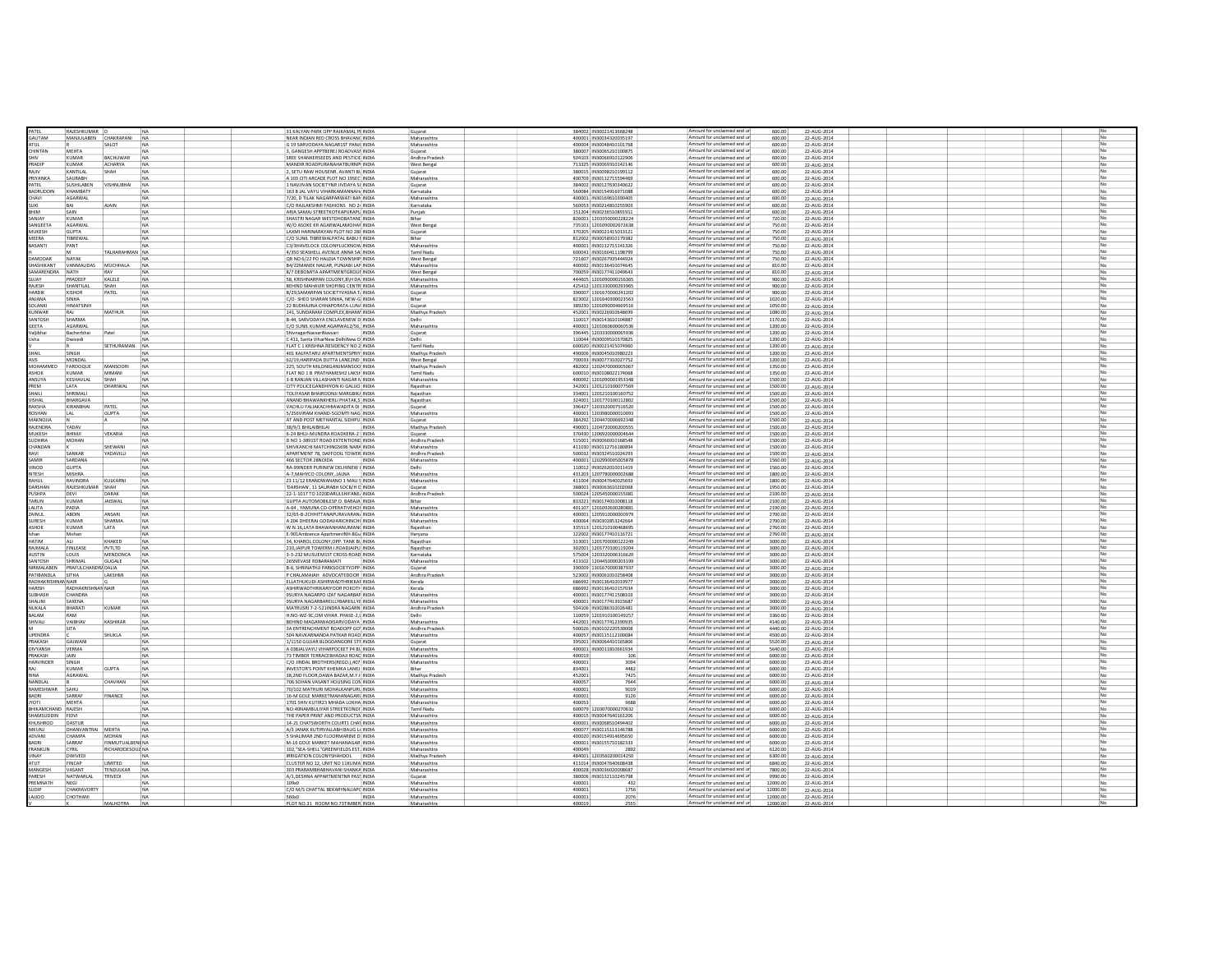|                    | RAJESHKUMAR           |                          |                | 31 KALYAN PARK OPP RAJKAMAL PI INDIA                | Gujarat                  |                  | 384002 IN3002141366824  | Amount for uncl<br>med and ur                              | 600.00               | 22-AUG-2014               |                |
|--------------------|-----------------------|--------------------------|----------------|-----------------------------------------------------|--------------------------|------------------|-------------------------|------------------------------------------------------------|----------------------|---------------------------|----------------|
| AUTAM              |                       | MANJULABEN CHAKRAPANI NA |                | NEAR INDIAN RED CROSS BHAVAN( INDIA                 | Maharashtra              |                  | 400001 IN30034320035197 | Amount for unclaimed and ur                                | 600.00               | 22-AUG-2014               |                |
| ATI II             |                       | SALOT                    | NA             | G 19 SARVODAYA NAGAR1ST PANJI INDIA                 | Maharashtra              |                  | 400004 IN30048410101768 | Amount for unclaimed and ur                                | 600.00               |                           | No             |
|                    |                       |                          | NA             |                                                     |                          |                  |                         | Amount for unclaimed and un                                |                      | 22-AUG-2014               | N <sub>o</sub> |
| CHINTAN            | MEHT/                 |                          |                | 3, GANGESH APPTBEREJ ROADVASI INDIA                 | Gujarat                  |                  | 380007 IN30065210100875 |                                                            | 600.00               | 22-AUG-2014               |                |
| <b>SHIV</b>        | KUMAR                 | <b>BACHLIWAR</b>         | NA             | SREE SHANKERSEEDS AND PESTICIL INDIA                | Andhra Pradesh           |                  | 504103 IN30066910122906 | Amount for unclaimed and ur                                | 600.00               | 22-AUG-2014               | No             |
| PRADIP             | KUMAR                 | ACHARYA                  | NA             | MANDIR ROADPURANAHATBURNP INDIA                     | West Bengal              |                  | 713325 IN3006931014214  | Amount for unclaimed and ur                                | 600.00               | 22-AUG-2014               |                |
| RAIIV              | KANTILAL              | SHAH                     | NA             | 2. SETU RAW HOUSENR, AVANTI BL INDIA                | Guiarat                  |                  | 380015 IN30098210199112 | Amount for unclaimed and ur                                | 600.00               | 22-AUG-2014               |                |
| PRIYANKA           | SAURABH               |                          | N <sub>A</sub> | A 103 CITI ARCADE PLOT NO 19SEC INDIA               | Maharashtra              |                  | 400709 IN3011271559446  | Amount for unclaimed and ur                                | 600.00               | 22-AUG-2014               | No             |
| PATEL              | SUSHILABEN            | VISHNUBHAI               | N <sub>a</sub> | 1 NAVJIVAN SOCIETYNR JIVDAYA S( INDIA               | Guiarat                  |                  | 384002 IN30127630340622 | Amount for unclaimed and ur                                | 600.00               | 22-AUG-2014               | No             |
| <b>BADRUDDIN</b>   | KHAMRATY              |                          |                | 163 B JAL VAYLI VIHARKAMANNAH, INDIA                | Karnataka                |                  | 560084 IN30154916971088 | Amount for unclaimed and ur                                | 600.00               | 22-AUG-2014               | No             |
| CHAVI              | AGARWAL               |                          | NA             | 7/20, D TILAK NAGARPARWATI BAN INDIA                | Maharashtra              |                  | 400001 IN3016961039040  | Amount for unclaimed and ur                                | 600.00               | 22-AUG-2014               |                |
|                    |                       |                          |                |                                                     |                          |                  |                         |                                                            |                      |                           |                |
| SUKL               | BAI                   | <b>AIAIN</b>             | N <sub>A</sub> | C/O RAJLAKSHMI FASHIONS NO 2- INDIA                 | Karnataka                |                  | 560053 IN3021481025590  | Amount for unclaimed and ur                                | 600.00               | 22-AUG-2014               | No             |
| BHIM               | SAIN                  |                          | <b>NA</b>      | ARIA SAMAJ STREETKOTKAPURAPU INDIA                  | Puniab                   |                  | 151204 IN30236510891911 | Amount for unclaimed and ur                                | 600.00               | 22-AUG-2014               |                |
| SANJAY             | KUMAR                 |                          | N <sub>A</sub> | SHASTRI NAGAR WESTDHOBATANE INDIA                   | Bihar                    |                  | 826001 1203350000228224 | Amount for unclaimed and ur                                | 720.00               | 22-AUG-2014               | No             |
| SANGEETA           | AGARWAL               |                          | NA             | W/O ASOKE KR AGARWALAMOHA! INDIA                    | West Bengal              |                  | 735101 1201090002672638 | Amount for unclaimed and ur                                | 750.00               | 22-AUG-2014               |                |
| MUKESH             | <b>GUPTA</b>          |                          | <b>NA</b>      | LAXMI HARINARAYAN PLOT NO 288 INDIA                 | Guiarat                  |                  | 370205 IN3002141501312: | Amount for unclaimed and ur                                | 750.00               | 22-AUG-2014               | No             |
| MEERA              | TIBREWAL              |                          | <b>NA</b>      | C/O SUNIL TIBREWALPATAL BABU I INDIA                | Bihar                    |                  | 812002 IN30058910179382 | Amount for unclaimed and ur                                | 750.00               | 22-AUG-2014               | No             |
| <b>BASANTI</b>     | PANT                  |                          | N <sub>A</sub> | C3/3HAVELOCK COLONYLUCKNOW INDIA                    | Maharashtra              |                  | 400001 IN30112715141326 | Amount for unclaimed and ur                                | 750.00               | 22-AUG-2014               |                |
|                    |                       |                          |                |                                                     |                          |                  |                         | Amount for unclaimed and ur                                |                      |                           |                |
|                    |                       | TALHARAHMAN NA           |                | 4/350 SEASHELL AVENUE ANNA SALINDIA                 | Tamil Nadu               |                  | 600041 IN30160411198799 |                                                            | 750.00               | 22-AUG-2014               |                |
| AMODAR             | NAYAK                 |                          |                | OR NO 6/22 PO HALDIA TOWNSHIP INDIA                 | West Bengal              |                  | 721607 IN30267935444924 | Amount for unclaimed and ur                                | 750.00               | 22-AUG-2014               |                |
| HASHIKANT          | VANMALIDAS            | MUCHHALA                 | NA             | B4/22MANEK NAGAR, PUNJABI LAI INDIA                 | Maharashtra              |                  | 400092 IN30136410074645 | Amount for unclaimed and ur                                | 810.00               | 22-AUG-2014               |                |
| MARENDRA           | <b>NATH</b>           |                          |                | 8/7 DEBOMITA APARTMENTGROUI INDIA                   | West Bengal              |                  | 700059 IN30177411049643 | Amount for unclaimed and ur                                | 810.00               | 22-AUG-2014               |                |
| SUJAY              | PRADEEP               | KALELE                   | NA             | 58, KRISHNARPAN COLONY, BUH DA INDIA                | Maharashtra              |                  | 444605 1201090000156365 | Amount for unclaimed and ur                                | 900.00               | 22-AUG-2014               | No             |
| RAJESH             | SHANTILA              |                          |                | BEHIND MAHAVIR SHOPING CENTR INDIA                  | Maharashtra              |                  | 425412 120133000029396  | Amount for unclaimed and ur                                | 900.00               | 22-AUG-2014               | No             |
| ARDI               | KISHOR                | PATEL                    | NA             | B/29.SAMARPAN SOCIETYVASNA T. INDIA                 | Gujarat                  |                  | 390007 1301670000241202 | Amount for unclaimed and ur                                | 900.00               | 22-AUG-2014               |                |
| ANIANA             | SINHA                 |                          | NA             | C/O- SHEO SHARAN SINHA, NEW-G INDIA                 | Bihar                    |                  | 823002 1201640300023563 | Amount for unclaimed and ur                                | 1020.00              | 22-AUG-2014               | No             |
|                    |                       |                          |                |                                                     |                          |                  |                         | Amount for unclaimed and un                                |                      |                           | No             |
| SOLANKI            | <b>HIMATSINE</b>      |                          | NA             | 22 BUDHAJINA CHHAPORATA-LUN/ INDIA                  | Gujarat                  |                  | 389230 1201090004669516 |                                                            | 1050.00              | 22-AUG-2014               |                |
| <b>CLINWAR</b>     | RAJ                   | MATHUR                   | NA             | 141. SUNDARAM COMPLEX.BHANV INDIA                   | Madhya Pradesh           |                  | 452001 N30226910648699  | Amount for unclaimed and ur                                | 1080.00              | 22-AUG-2014               | No             |
| ANTOSH             | SHARMA                |                          |                | B-44, SARVODAYA ENCLAVENEW D INDIA                  | Delhi                    |                  | 110017 IN3014361010488  | Amount for unclaimed and un                                | 1170.00              | 22-AUG-2014               | No             |
| <b>GEETA</b>       | <b>AGARWAL</b>        |                          | NA             | C/O SUNIL KUMAR AGARWAL2/56. INDIA                  | Maharashtra              |                  | 400001 1201060600060536 | Amount for unclaimed and ur                                | 1200.00              | 22-AUG-2014               | No             |
| Valjibhai          | Bacherbha             |                          | NA             | ShivnagarNavsariNavsari<br><b>INDIA</b>             | Gujarat                  |                  | 396445 1203330000065936 | Amount for unclaimed and ur                                | 1200.00              | 22-AUG-2014               | No             |
| Isha               | Dwivedi               |                          | <b>NA</b>      | C 411 Sarita VibarNew DelhiNew D INDIA              | Delhi                    |                  | 110044 IN30009510370825 | Amount for unclaimed and ur                                | 1200.00              | 22-AUG-2014               | No             |
|                    |                       | SETHURAMAN               | NA             | FLAT C 1 KRISHNA RESIDENCY NO 2 INDIA               | Tamil Nadu               |                  | 600020 IN30021415074960 | Amount for unclaimed and ur                                | 1200.00              | 22-AUG-2014               | No             |
| <b>SHAIL</b>       | SINGH                 |                          | <b>NA</b>      | 401 KALPATARU APARTMENTSPRIY INDIA                  | Madhya Pradesh           |                  | 490006 IN30045010980223 | Amount for unclaimed and ur                                | 1200.00              | 22-AUG-2014               | No             |
|                    |                       |                          |                |                                                     |                          |                  |                         |                                                            |                      |                           |                |
|                    | MONDAL                |                          | <b>NA</b>      | 62/19 HARIPADA DUTTA LANE2ND INDIA                  | West Bengal              |                  | 700033 IN30077310027752 | Amount for unclaimed and ur                                | 1200.00              | 22-AUG-2014               | No             |
| MOHAMMED           | FAROOQUE              | MANSOORI                 | <b>NA</b>      | 225, SOUTH MILONIGANJMANSOO INDIA                   | Madhya Pradesh           |                  | 482002 1202470000005067 | Amount for unclaimed and ur                                | 1350.00              | 22-AUG-2014               |                |
| <b>ASHOK</b>       | KUMAR                 | MIMANI                   | N <sub>A</sub> | FLAT NO 1 B PRATHAMESH2 LAKSI INDIA                 | Tamil Nadu               |                  | 600010 IN30108022174068 | Amount for unclaimed and ur                                | 1350.00              | 22-AUG-2014               | No             |
| ANSUYA             | KESHAVLAI             | <b>SHAH</b>              | NA             | 3-B RANJAN VILLASHANTI NAGAR N INDIA                | Maharashtra              |                  | 400092 1201090001953348 | Amount for unclaimed and ur                                | 1500.00              | 22-AUG-2014               |                |
| PREM               | LATA                  | DHARIWAL                 | NA             | CITY POLICEGANDHIYON KI GALIJO INDIA                | Raiasthan                |                  | 342001 1201210100077569 | Amount for unclaimed and ur                                | 1500.00              | 22-AUG-2014               |                |
| HAILI              | SHRIMALI              |                          | NA             | TOLIYASAR BHAIROONJI MARGBIK/ INDIA                 | Rajasthan                |                  | 334001 1201210100160752 | Amount for unclaimed and ur                                | 1500.00              | 22-AUG-2014               |                |
| VISHAL             | BHARGAVA              |                          | <b>NA</b>      | ANAND BHAWANKHERLI PHATAK.S INDIA                   | Raiasthan                |                  | 324001 1201770100112802 | Amount for unclaimed and ur                                | 1500.00              | 22-AUG-2014               | No             |
| RAKSHA             | KIRANBHAI             | PATEL                    | <b>NA</b>      | VACHLU FALIAKACHHIAWADITA DI INDIA                  |                          |                  | 396427 1203320007516520 | Amount for unclaimed and ur                                | 1500.00              |                           |                |
|                    |                       |                          |                |                                                     | Gujarat                  |                  |                         | Amount for unclaimed and ur                                |                      | 22-AUG-2014               |                |
| ROSHAN             | LAL                   | <b>GUPTA</b>             | NA             | 5/256VIRAM KHAND-5GOMTI NAG INDIA                   | Maharashtra              |                  | 400001 1203980000010093 |                                                            | 1500.00              | 22-AUG-2014               |                |
| MAKNOJIA           |                       |                          | NA             | AT AND POST METHANTAL SIDHPU INDIA                  | Gujarat                  |                  | 384292 1204470006692348 | Amount for unclaimed and ur                                | 1500.00              | 22-AUG-2014               |                |
| RAJENDRA           | YADA\                 |                          | NA             | 38/9/1 BHILAIBHILAI<br>INDIA                        | Madhya Pradesi           |                  | 490001 120472000020055  | Amount for unclaimed and ur                                | 1500.00              | 22-AUG-2014               |                |
| MUKESH             | BHIMJ                 | VEKARIA                  | NA             | 6-24 BHUJ-MUNDRA ROADKERA-2 INDIA                   | Gujarat                  |                  | 370430 1206920000004644 | Amount for unclaimed and ur                                | 1500.00              | 22-AUG-2014               |                |
| UDHIRA             | <b>MOHAN</b>          |                          |                | D NO 1-3891ST ROAD EXTENTIONE INDIA                 | Andhra Prades            |                  | 515001 IN3006691016854  | Amount for unclaimed and ur                                | 1500.00              | 22-AUG-2014               | No             |
| CHANDAN            |                       | SHEWANI                  | NA             | SHIVKANCHI MATCHINGS696 NARA INDIA                  | Maharashtra              |                  | 411030 IN30112716180894 | Amount for unclaimed and un                                | 1500.00              | 22-AUG-2014               |                |
|                    | SANKAR                | <b>ADAVILLI</b>          | N              | APARTMENT 78, DAFFODIL TOWER INDIA                  | Andhra Pradesh           |                  | 500032 IN3032451002429  | Amount for unclaimed and ur                                | 1500.00              | 22-AUG-2014               | No             |
| SAMIR              | SARDANA               |                          | NA             | 466 SECTOR 28NOIDA<br>INDIA                         |                          |                  | 400001 1202990005005878 | Amount for unclaimed and ur                                | 1560.00              | 22-AUG-2014               | No             |
| VINOD              | <b>GUPTA</b>          |                          | <b>NA</b>      | RA-99INDER PURINEW DELHINEW I INDIA                 | Maharashtra<br>Delhi     |                  | 110012 IN30262010011419 | Amount for unclaimed and ur                                | 1560.00              | 22-AUG-2014               | No             |
|                    |                       |                          |                |                                                     |                          |                  |                         | Amount for unclaimed and un                                |                      |                           | No             |
| <b>ITESH</b>       | <b>MISHRA</b>         |                          |                | A-7, MAHYCO COLONY, JALNA<br><b>INDIA</b>           | Maharashtra              |                  | 431203 120778000000268  |                                                            | 1800.00              | 22-AUG-2014               |                |
| RAHUL              | RAVINDRA              | KULKARNI                 | NA             | Z3 11/12 ERANDWANANO 1 MALI S INDIA                 | Maharashtra              |                  | 411004 IN30047640025693 | Amount for unclaimed and ur                                | 1800.00              | 22-AUG-2014               | No             |
| DARSHAN            | RAJESHKUMAR           | SHAH                     | NA             | DARSHAN', 11 SAURABH SOCB/H C INDIA                 | Gujarat                  |                  | 388001 IN3006361020206  | Amount for unclaimed and un                                | 1950.00              | 22-AUG-2014               | No             |
| PLISHPA            | <b>DFVI</b>           | DARAK                    | <b>NA</b>      | 22-1-1017 TO 1020DARLILSHIFANE, INDIA               | Andhra Pradesh           |                  | 500024 1205450000155081 | Amount for unclaimed and ur                                | 2100.00              | 22-AUG-2014               | No             |
| TARUN              | KUMAR                 | JAISWAL                  | NA             | GUPTA AUTOMOBILESP.O. BARAJA INDIA                  | Bihar                    |                  | 833221 IN3017401000811  | Amount for unclaimed and ur                                | 2100.00              | 22-AUG-2014               | No             |
| ALITA              | PADIA                 |                          | <b>NA</b>      | 4-64 YAMUNA CO-OPERATIVEHOL INDIA                   | Maharashtra              |                  | 401107 1201092600280881 | Amount for unclaimed and ur                                | 2190.00              | 22-AUG-2014               | No.            |
| ZAINUL             | <b>ARDIN</b>          | <b>ANSARI</b>            | NA             | 32/65-B-2CHHITTANAPURAVARAN/ INDIA                  | Maharashtra              |                  | 400001 120591000000097  | Amount for unclaimed and ur                                | 2700.00              | 22-AUG-2014               | No             |
| <b>SURESH</b>      | KUMAR                 | SHARMA                   | <b>NA</b>      | A 204 DHEERAJ GODAVARICHINCH( INDIA                 | Maharashtra              |                  | 400064 IN30302853242664 | Amount for unclaimed and ur                                | 2700.00              |                           | No             |
|                    |                       |                          |                |                                                     |                          |                  |                         |                                                            |                      | 22-AUG-2014               |                |
| ASHOK              | KUMAR                 | <b>LATA</b>              | <b>NA</b>      | W N 16 LATA RHAWANHANI IMAN( INDIA                  | Raiasthan                |                  | 335513 1201210100468695 | Amount for unclaimed and ur                                | 2760.00              | 22-AUG-2014               | No             |
| khan               | Mohan                 |                          | <b>NA</b>      | E-901Ambience ApartmentNH-8Gu INDIA                 | Harvana                  |                  | 122002 IN30177410116721 | Amount for unclaimed and ur                                | 2760.00              | 22-AUG-2014               | No             |
| <b>HATIM</b>       | $\Delta$ <sub>1</sub> | KHAKED                   | N <sub>A</sub> | 34. KHAROL COLONY.OPP. TANK BL INDIA                | Raiasthan                |                  | 313001 1201700000122249 | Amount for unclaimed and ur                                | 3000.00              | 22-AUG-2014               | No             |
| RAJMALA            | FINLEASE              | PVTLTD                   | N <sub>A</sub> | 210, JAIPUR TOWERM.I.ROADJAIPU INDIA                | Rajasthan                |                  | 302001 1201770100119204 | Amount for unclaimed and ur                                | 3000.00              | 22-AUG-2014               |                |
| <b>AUSTIN</b>      | LOUIS                 | MENDONCA                 | NA             | 3-3-232 MUSUEM1ST CROSS ROAD INDIA                  | Karnataka                |                  | 575004 1203320006316620 | Amount for unclaimed and ur                                | 3000.00              | 22-AUG-2014               |                |
| <b>NTOSH</b>       | SHRIMAI               | GUGALE                   | N <sub>4</sub> | 265NEVASE RDBARAMATI<br><b>INDIA</b>                | Maharashtra              |                  | 413102 1204450000203199 | Amount for unclaimed and ur                                | 3000.00              | 22-AUG-2014               |                |
| NIRMALABEN         | PRAFULCHANDR/ DALIA   |                          | NA             | B-6, SHRINATHJI PARKSOCIETYOPP- INDIA               | Gujarat                  |                  | 390009 1301670000387937 | Amount for unclaimed and ur                                | 3000.00              | 22-AUG-2014               | No             |
| <b>ATIBANDLA</b>   | SITHA                 | LAKSHMI                  | <b>N</b>       | P CHALAMAIAH ADVOCATEDOOR INDIA                     | Andhra Pradesh           |                  | 523002 IN3006101025840  | Amount for unclaimed and ur                                | 3000.00              | 22-AUG-2014               |                |
| RADHAKRISHNAN NAIR |                       |                          | NA             | ELLATHUKUDI ASHIRWADTHRIKKAI INDIA                  | Kerala                   |                  | 686692 IN3013641001997  | Amount for unclaimed and ur                                | 3000.00              | 22-AUG-2014               |                |
|                    |                       |                          |                |                                                     |                          |                  |                         |                                                            |                      |                           |                |
| HARISH             | RADHAKRISHNAN NAIR    |                          | NA             | ASHIRWADTHRIKARIYOOR POKOTI- INDIA                  | Kerala                   |                  | 686692 IN30136410157034 | Amount for unclaimed and ur                                | 3000.00              | 22-AUG-2014               |                |
| <b>SUBHASH</b>     | CHANDRA               |                          |                | 9SURYA NAGARPO IZAT NAGARBAF INDIA                  | Maharashtra              |                  | 400001 IN3017741150810  | Amount for unclaimed and ur                                | 3000.00              | 22-AUG-2014               |                |
| SHALINI            | SAXENA                |                          | <b>N</b>       | 9SURYA NAGARBAREILLYBAREILLYE INDIA                 | Maharashtra              |                  | 400001 IN3017741392368  | Amount for unclaimed and ur                                | 3000.00              | 22-AUG-2014               |                |
| <b>IUKALA</b>      | BHARAT                | KUMAR                    | N              | MATRUSRI 7-2-521INDRA NAGARN INDIA                  | Andhra Pradesh           |                  | 504106 IN3028631002648  | Amount for unclaimed and ur                                | 3000.00              | 22-AUG-2014               | No             |
| BALAM              | RAM                   |                          |                | H.NO-WZ-9C.OM VIHAR, PHASE-2.L INDIA                | Delhi                    |                  | 110059 1201910100149257 | Amount for unclaimed and ur                                | 3360.00              | 22-AUG-2014               |                |
| SHIVALI            | <b>VAIBHAV</b>        | KASHIKAR                 | NA             | BEHIND MAGANWADISARVODAYA INDIA                     | Maharashtra              |                  | 442001 IN3017741239093  | Amount for unclaimed and ur                                | 4140.00              | 22-AUG-2014               | No             |
|                    | SITA                  |                          |                | 3A ENTRENCHMENT ROADOPP GO' INDIA                   | Andhra Pradesh           |                  |                         |                                                            |                      |                           | No             |
| <b>IPENDRA</b>     |                       |                          | NA             |                                                     |                          |                  |                         | Amount for unclaimed and un                                |                      |                           |                |
|                    |                       |                          |                | 504 NAVKARNANDA PATKAR ROAD INDIA                   |                          |                  | 500026 IN3010222053000  | Amount for unclaimed and un                                | 4440.00              | 22-AUG-2014               | No             |
|                    |                       | SHUKLA                   |                |                                                     | Maharashtra              |                  | 400057 IN3011511210008  |                                                            | 4500.00              | 22-AUG-2014               |                |
| RAKASH             | GAJWANI               |                          |                | 1/1150 GUIJAR BLDGDANGORE STF INDIA                 | Gujarat                  |                  | 395001 IN3006441016580  | Amount for unclaimed and un                                | 5520.00              | 22-AUG-2014               | No             |
| <b>DIVYANSH</b>    | <b>VERMA</b>          |                          | NA             | A 0381ALVAYLI VIHARPOCKET PA BL INDIA               | Maharashtra              |                  | 400001 IN30011810661934 | Amount for unclaimed and ur                                | 5640.00              | 22-AUG-2014               | No             |
| PRAKASH            | <b>JAIN</b>           |                          | N <sub>A</sub> | 73 TIMBER TERRACEBHADAJI ROAC INDIA                 | Maharashtra              | 400019           | 101                     | Amount for unclaimed and ur                                | 6000.00              | 22-AUG-2014               | No             |
| HARVINDER          | SINGH                 |                          | NA             | C/O IINDAL BROTHERS(REGD ) 407 INDIA                | Maharashtra              | 400001           | 3094                    | Amount for unclaimed and ur                                | 6000.00              | 22-AUG-2014               | No             |
|                    | KUMAR                 | <b>GUPTA</b>             | NA             | INVESTOR'S POINT KHEMKA LANEJ INDIA                 | Bihar                    | 834001           | 4482                    | Amount for unclaimed and ur                                | 6000.00              | 22-AUG-2014               | No             |
| RINA               | AGRAWAL               |                          | NA             | 38.2ND FLOOR.DAWA BAZAR.M.Y.H INDIA                 | Madhya Pradesh           | 452001           | 7425                    | Amount for unclaimed and ur                                | 6000.00              | 22-AUG-2014               | No             |
| NANDLAL.           |                       | CHAVHAN                  | <b>NA</b>      | <b>706 SOHAN VASANT HOLISING CON INDIA</b>          | Maharashtra              | 400057           | 7644                    | Amount for unclaimed and ur                                | 6000.00              | 22-AUG-2014               | No             |
| RAMESHWAR SAHU     |                       |                          | <b>NA</b>      | 70/102 MATHURI MOHALKANPURL INDIA                   | Maharashtra              | 400001           | 9019                    | Amount for unclaimed and ur                                | 6000.00              | 22-AUG-2014               | No             |
| BADRI              | SARRAE                | FINANCE                  | <b>NA</b>      | 16-M GOLE MARKETMAHANAGARI INDIA                    | Maharashtra              | 400001           | 9126                    | Amount for unclaimed and ur                                | 6000.00              | 22-AUG-2014               | No             |
| <b>TOY</b>         | <b>MEHTA</b>          |                          | NA             | 1701 SHIV KUTIR23 MHADA LOKHA INDIA                 | Maharashtra              | 400053           | 9688                    |                                                            | 6000.00              |                           |                |
|                    |                       |                          |                |                                                     |                          |                  |                         | Amount for unclaimed and ur                                |                      | 22-AUG-2014               |                |
| BHIKAMCHAND RAJESH |                       |                          | N <sub>A</sub> | NO:40NAMBULIYAR STREETKONDI' INDIA                  | Tamil Nadu               |                  | 600079 1203070000270632 | Amount for unclaimed and ur                                | 6000.00              | 22-AUG-2014               |                |
| IAMSUDDIN FIDVI    |                       |                          | N <sub>A</sub> | THE PAPER PRINT AND PRODUCTSN INDIA                 | Maharashtra              |                  | 400015 IN30047640161206 | Amount for unclaimed and ur                                | 6000.00              | 22-AUG-2014               |                |
| KHUSHROO           | DASTUR                |                          | <b>NA</b>      | 14-21 CHATSWORTH COURT1 CHAT INDIA                  | Maharashtra              |                  | 400001 IN30068510494402 | Amount for unclaimed and ur                                | 6000.00              | 22-AUG-2014               | No             |
| NIKUNJ             | DHANVANTRAI           | MEHTA                    | NA             | A/3 JANAK KUTIRVALLABH BAUG L/ INDIA                | Maharashtra              |                  | 400077 IN30115113146788 | Amount for unclaimed and ur                                | 6000.00              | 22-AUG-2014               |                |
| ADVANI             | CHAMPA                | MOHAN                    | NA             | 5 SHALIMAR 2ND FLOORMARINE D INDIA                  | Maharashtra              |                  | 400020 IN30154914695650 | Amount for unclaimed and ur                                | 6000.00              | 22-AUG-2014               |                |
|                    | SARRAE                | FINMUTUALBENI NA         |                | M-16 GOLE MARKET MAHANAGAR INDIA                    | Maharashtra              |                  | 400001 IN30155710182333 | Amount for unclaimed and ur                                | 6000.00              | 22-AUG-2014               |                |
| FRANKLIN           | CYRIL                 | RICHARDDESOU2 NA         |                | 102, "SEA-SHELL" GREENFIELDS EST. INDIA             | Maharashtra              | 400049           |                         | Amount for unclaimed and ur                                | 6120.00              | 22-AUG-2014               |                |
| VINAY              | <b>DWIVED</b>         |                          | <b>NA</b>      | IRRIGATION COLONYSHAHDOL INDIA                      | Madhya Pradesh           |                  | 484001 1203560200014250 | Amount for unclaimed and ur                                | 6300.00              | 22-AUG-2014               |                |
|                    | <b>FINCAP</b>         | <b>IMITED</b>            |                | CLUSTER NO 12, UNIT NO 11KUMA INDIA                 | Maharashtra              |                  | 411014 IN3004764060843  | Amount for unclaimed and ur                                | 6840.00              | 22-AUG-2014               | No             |
|                    | VASANT                |                          |                | 303 PRARAMBHABHAVANI SHANKA INDIA                   |                          |                  |                         | Amount for unclaimed and ur                                | 7800.00              |                           |                |
| MANGESH            |                       | TENDULKAR                | NA             |                                                     | Maharashtra              |                  | 400028 IN30036020008687 |                                                            |                      | 22-AUG-2014               |                |
| PARESH             | NATWARLAI             | TRIVEDI                  |                | A/1, DESHNA APPARTMENTNR PASS INDIA                 | Gujarat                  |                  | 380006 IN3013211024579  | Amount for unclaimed and ur                                | 9990.00              | 22-AUG-2014               |                |
| PREMNATH           | NEGI                  |                          |                | 109x0<br>INDIA                                      | Maharashtra              | 400001           | 432                     | Amount for unclaimed and ur                                | 12000.00             | 22-AUG-2014               | No             |
| SLIDIP             | CHAKRAVORTY           |                          | <b>N</b>       | C/O M/S CHATTAL BEKARYNALIAPC INDIA                 | Maharashtra              | 400001           | 1756                    | Amount for unclaimed and un                                | 12000.00             | 22-AUG-2014               | No             |
| <b>DOLIA1</b>      | CHOTHANI              | MAI HOTRA                |                | 560x0<br>INDIA<br>PLOT NO.31 ROOM NO.73TIMBER INDIA | Maharashtra<br>Maharasht | 400001<br>400019 | 2076                    | Amount for unclaimed and ur<br>Amount for unclaimed and ur | 12000.00<br>12000.00 | 22-AUG-2014<br>22-AUG-201 |                |